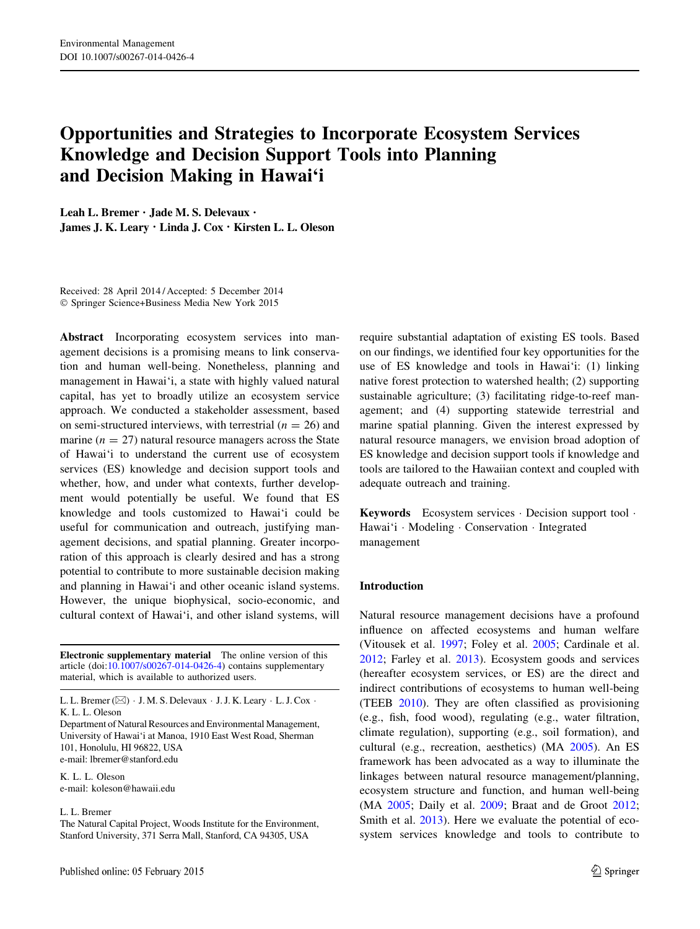# Opportunities and Strategies to Incorporate Ecosystem Services Knowledge and Decision Support Tools into Planning and Decision Making in Hawai'i

Leah L. Bremer • Jade M. S. Delevaux • James J. K. Leary • Linda J. Cox • Kirsten L. L. Oleson

Received: 28 April 2014 / Accepted: 5 December 2014 - Springer Science+Business Media New York 2015

Abstract Incorporating ecosystem services into management decisions is a promising means to link conservation and human well-being. Nonetheless, planning and management in Hawai'i, a state with highly valued natural capital, has yet to broadly utilize an ecosystem service approach. We conducted a stakeholder assessment, based on semi-structured interviews, with terrestrial  $(n = 26)$  and marine  $(n = 27)$  natural resource managers across the State of Hawai'i to understand the current use of ecosystem services (ES) knowledge and decision support tools and whether, how, and under what contexts, further development would potentially be useful. We found that ES knowledge and tools customized to Hawai'i could be useful for communication and outreach, justifying management decisions, and spatial planning. Greater incorporation of this approach is clearly desired and has a strong potential to contribute to more sustainable decision making and planning in Hawai'i and other oceanic island systems. However, the unique biophysical, socio-economic, and cultural context of Hawai'i, and other island systems, will

Electronic supplementary material The online version of this article (doi:[10.1007/s00267-014-0426-4\)](http://dx.doi.org/10.1007/s00267-014-0426-4) contains supplementary material, which is available to authorized users.

L. L. Bremer ( $\boxtimes$ ) · J. M. S. Delevaux · J. J. K. Leary · L. J. Cox · K. L. L. Oleson

Department of Natural Resources and Environmental Management, University of Hawai'i at Manoa, 1910 East West Road, Sherman 101, Honolulu, HI 96822, USA e-mail: lbremer@stanford.edu

K. L. L. Oleson e-mail: koleson@hawaii.edu

L. L. Bremer

The Natural Capital Project, Woods Institute for the Environment, Stanford University, 371 Serra Mall, Stanford, CA 94305, USA

require substantial adaptation of existing ES tools. Based on our findings, we identified four key opportunities for the use of ES knowledge and tools in Hawai'i: (1) linking native forest protection to watershed health; (2) supporting sustainable agriculture; (3) facilitating ridge-to-reef management; and (4) supporting statewide terrestrial and marine spatial planning. Given the interest expressed by natural resource managers, we envision broad adoption of ES knowledge and decision support tools if knowledge and tools are tailored to the Hawaiian context and coupled with adequate outreach and training.

Keywords Ecosystem services - Decision support tool - Hawai'i · Modeling · Conservation · Integrated management

## Introduction

Natural resource management decisions have a profound influence on affected ecosystems and human welfare (Vitousek et al. [1997;](#page-15-0) Foley et al. [2005](#page-13-0); Cardinale et al. [2012](#page-12-0); Farley et al. [2013](#page-13-0)). Ecosystem goods and services (hereafter ecosystem services, or ES) are the direct and indirect contributions of ecosystems to human well-being (TEEB [2010](#page-14-0)). They are often classified as provisioning (e.g., fish, food wood), regulating (e.g., water filtration, climate regulation), supporting (e.g., soil formation), and cultural (e.g., recreation, aesthetics) (MA [2005](#page-13-0)). An ES framework has been advocated as a way to illuminate the linkages between natural resource management/planning, ecosystem structure and function, and human well-being (MA [2005;](#page-13-0) Daily et al. [2009;](#page-12-0) Braat and de Groot [2012](#page-12-0); Smith et al. [2013](#page-14-0)). Here we evaluate the potential of ecosystem services knowledge and tools to contribute to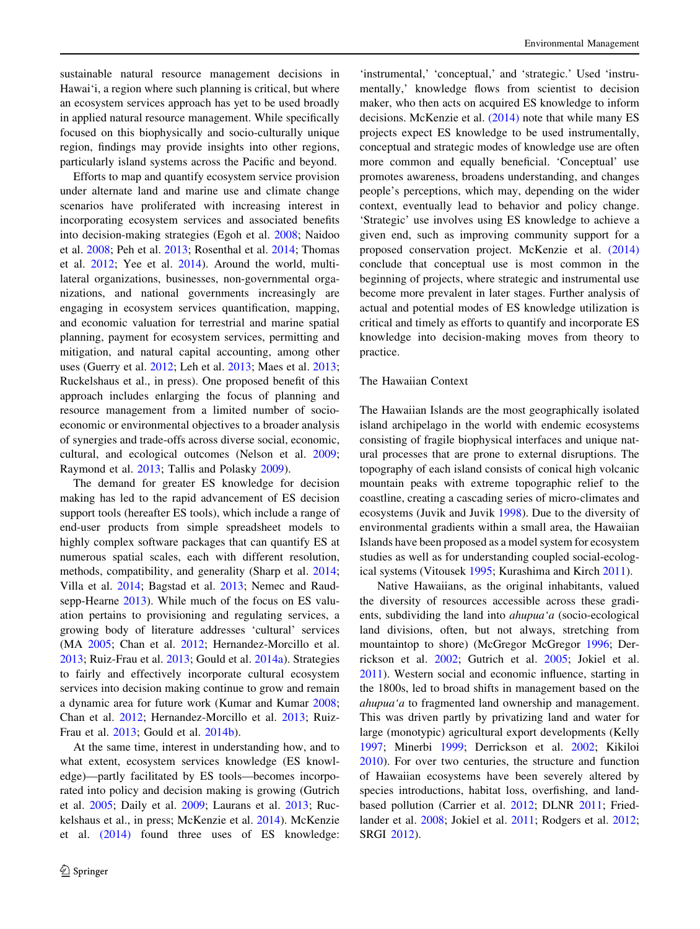sustainable natural resource management decisions in Hawai'i, a region where such planning is critical, but where an ecosystem services approach has yet to be used broadly in applied natural resource management. While specifically focused on this biophysically and socio-culturally unique region, findings may provide insights into other regions, particularly island systems across the Pacific and beyond.

Efforts to map and quantify ecosystem service provision under alternate land and marine use and climate change scenarios have proliferated with increasing interest in incorporating ecosystem services and associated benefits into decision-making strategies (Egoh et al. [2008](#page-13-0); Naidoo et al. [2008;](#page-14-0) Peh et al. [2013;](#page-14-0) Rosenthal et al. [2014](#page-14-0); Thomas et al. [2012](#page-14-0); Yee et al. [2014\)](#page-15-0). Around the world, multilateral organizations, businesses, non-governmental organizations, and national governments increasingly are engaging in ecosystem services quantification, mapping, and economic valuation for terrestrial and marine spatial planning, payment for ecosystem services, permitting and mitigation, and natural capital accounting, among other uses (Guerry et al. [2012;](#page-13-0) Leh et al. [2013](#page-13-0); Maes et al. [2013](#page-14-0); Ruckelshaus et al., in press). One proposed benefit of this approach includes enlarging the focus of planning and resource management from a limited number of socioeconomic or environmental objectives to a broader analysis of synergies and trade-offs across diverse social, economic, cultural, and ecological outcomes (Nelson et al. [2009](#page-14-0); Raymond et al. [2013;](#page-14-0) Tallis and Polasky [2009\)](#page-14-0).

The demand for greater ES knowledge for decision making has led to the rapid advancement of ES decision support tools (hereafter ES tools), which include a range of end-user products from simple spreadsheet models to highly complex software packages that can quantify ES at numerous spatial scales, each with different resolution, methods, compatibility, and generality (Sharp et al. [2014](#page-14-0); Villa et al. [2014;](#page-15-0) Bagstad et al. [2013](#page-12-0); Nemec and Raudsepp-Hearne [2013\)](#page-14-0). While much of the focus on ES valuation pertains to provisioning and regulating services, a growing body of literature addresses 'cultural' services (MA [2005;](#page-13-0) Chan et al. [2012;](#page-12-0) Hernandez-Morcillo et al. [2013;](#page-13-0) Ruiz-Frau et al. [2013;](#page-14-0) Gould et al. [2014a](#page-13-0)). Strategies to fairly and effectively incorporate cultural ecosystem services into decision making continue to grow and remain a dynamic area for future work (Kumar and Kumar [2008](#page-13-0); Chan et al. [2012;](#page-12-0) Hernandez-Morcillo et al. [2013;](#page-13-0) Ruiz-Frau et al. [2013](#page-14-0); Gould et al. [2014b](#page-13-0)).

At the same time, interest in understanding how, and to what extent, ecosystem services knowledge (ES knowledge)—partly facilitated by ES tools—becomes incorporated into policy and decision making is growing (Gutrich et al. [2005](#page-13-0); Daily et al. [2009;](#page-12-0) Laurans et al. [2013;](#page-13-0) Ruckelshaus et al., in press; McKenzie et al. [2014\)](#page-14-0). McKenzie et al. [\(2014\)](#page-14-0) found three uses of ES knowledge:

'instrumental,' 'conceptual,' and 'strategic.' Used 'instrumentally,' knowledge flows from scientist to decision maker, who then acts on acquired ES knowledge to inform decisions. McKenzie et al. [\(2014\)](#page-14-0) note that while many ES projects expect ES knowledge to be used instrumentally, conceptual and strategic modes of knowledge use are often more common and equally beneficial. 'Conceptual' use promotes awareness, broadens understanding, and changes people's perceptions, which may, depending on the wider context, eventually lead to behavior and policy change. 'Strategic' use involves using ES knowledge to achieve a given end, such as improving community support for a proposed conservation project. McKenzie et al. [\(2014\)](#page-14-0) conclude that conceptual use is most common in the beginning of projects, where strategic and instrumental use become more prevalent in later stages. Further analysis of actual and potential modes of ES knowledge utilization is critical and timely as efforts to quantify and incorporate ES knowledge into decision-making moves from theory to practice.

### The Hawaiian Context

The Hawaiian Islands are the most geographically isolated island archipelago in the world with endemic ecosystems consisting of fragile biophysical interfaces and unique natural processes that are prone to external disruptions. The topography of each island consists of conical high volcanic mountain peaks with extreme topographic relief to the coastline, creating a cascading series of micro-climates and ecosystems (Juvik and Juvik [1998](#page-13-0)). Due to the diversity of environmental gradients within a small area, the Hawaiian Islands have been proposed as a model system for ecosystem studies as well as for understanding coupled social-ecological systems (Vitousek [1995](#page-15-0); Kurashima and Kirch [2011\)](#page-13-0).

Native Hawaiians, as the original inhabitants, valued the diversity of resources accessible across these gradients, subdividing the land into ahupua'a (socio-ecological land divisions, often, but not always, stretching from mountaintop to shore) (McGregor McGregor [1996;](#page-14-0) Derrickson et al. [2002;](#page-13-0) Gutrich et al. [2005](#page-13-0); Jokiel et al. [2011](#page-13-0)). Western social and economic influence, starting in the 1800s, led to broad shifts in management based on the ahupua'a to fragmented land ownership and management. This was driven partly by privatizing land and water for large (monotypic) agricultural export developments (Kelly [1997](#page-13-0); Minerbi [1999;](#page-14-0) Derrickson et al. [2002](#page-13-0); Kikiloi [2010](#page-13-0)). For over two centuries, the structure and function of Hawaiian ecosystems have been severely altered by species introductions, habitat loss, overfishing, and landbased pollution (Carrier et al. [2012;](#page-12-0) DLNR [2011;](#page-13-0) Friedlander et al. [2008](#page-13-0); Jokiel et al. [2011](#page-13-0); Rodgers et al. [2012](#page-14-0); SRGI [2012\)](#page-14-0).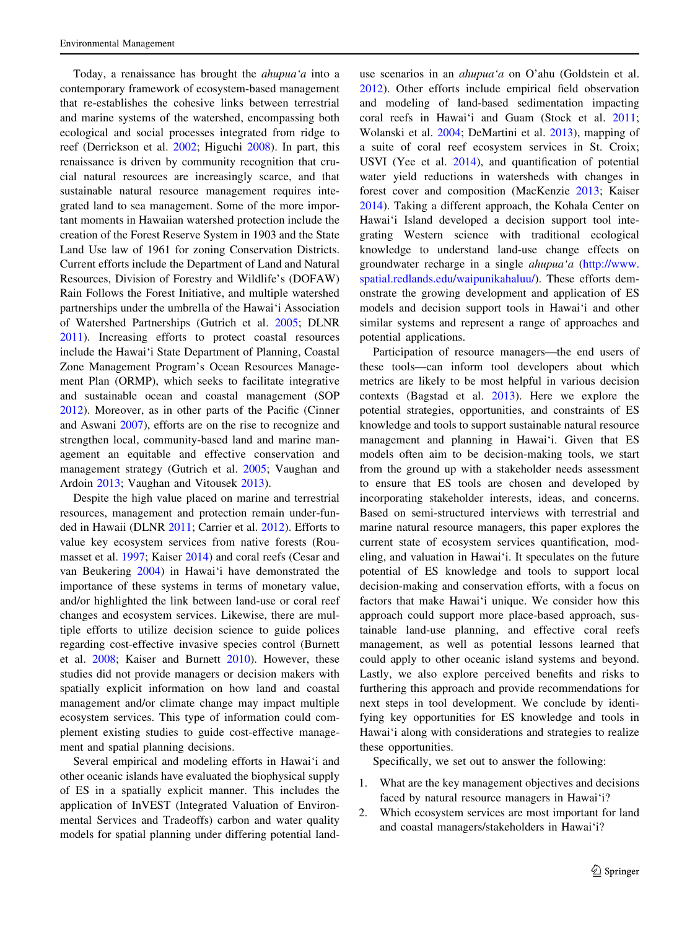Today, a renaissance has brought the ahupua'a into a contemporary framework of ecosystem-based management that re-establishes the cohesive links between terrestrial and marine systems of the watershed, encompassing both ecological and social processes integrated from ridge to reef (Derrickson et al. [2002](#page-13-0); Higuchi [2008](#page-13-0)). In part, this renaissance is driven by community recognition that crucial natural resources are increasingly scarce, and that sustainable natural resource management requires integrated land to sea management. Some of the more important moments in Hawaiian watershed protection include the creation of the Forest Reserve System in 1903 and the State Land Use law of 1961 for zoning Conservation Districts. Current efforts include the Department of Land and Natural Resources, Division of Forestry and Wildlife's (DOFAW) Rain Follows the Forest Initiative, and multiple watershed partnerships under the umbrella of the Hawai'i Association of Watershed Partnerships (Gutrich et al. [2005;](#page-13-0) DLNR [2011\)](#page-13-0). Increasing efforts to protect coastal resources include the Hawai'i State Department of Planning, Coastal Zone Management Program's Ocean Resources Management Plan (ORMP), which seeks to facilitate integrative and sustainable ocean and coastal management (SOP [2012\)](#page-14-0). Moreover, as in other parts of the Pacific (Cinner and Aswani [2007](#page-12-0)), efforts are on the rise to recognize and strengthen local, community-based land and marine management an equitable and effective conservation and management strategy (Gutrich et al. [2005;](#page-13-0) Vaughan and Ardoin [2013;](#page-14-0) Vaughan and Vitousek [2013](#page-14-0)).

Despite the high value placed on marine and terrestrial resources, management and protection remain under-funded in Hawaii (DLNR [2011](#page-13-0); Carrier et al. [2012](#page-12-0)). Efforts to value key ecosystem services from native forests (Roumasset et al. [1997](#page-14-0); Kaiser [2014\)](#page-13-0) and coral reefs (Cesar and van Beukering [2004\)](#page-12-0) in Hawai'i have demonstrated the importance of these systems in terms of monetary value, and/or highlighted the link between land-use or coral reef changes and ecosystem services. Likewise, there are multiple efforts to utilize decision science to guide polices regarding cost-effective invasive species control (Burnett et al. [2008;](#page-12-0) Kaiser and Burnett [2010](#page-13-0)). However, these studies did not provide managers or decision makers with spatially explicit information on how land and coastal management and/or climate change may impact multiple ecosystem services. This type of information could complement existing studies to guide cost-effective management and spatial planning decisions.

Several empirical and modeling efforts in Hawai'i and other oceanic islands have evaluated the biophysical supply of ES in a spatially explicit manner. This includes the application of InVEST (Integrated Valuation of Environmental Services and Tradeoffs) carbon and water quality models for spatial planning under differing potential landuse scenarios in an ahupua'a on O'ahu (Goldstein et al. [2012](#page-13-0)). Other efforts include empirical field observation and modeling of land-based sedimentation impacting coral reefs in Hawai'i and Guam (Stock et al. [2011](#page-14-0); Wolanski et al. [2004](#page-15-0); DeMartini et al. [2013\)](#page-12-0), mapping of a suite of coral reef ecosystem services in St. Croix; USVI (Yee et al. [2014\)](#page-15-0), and quantification of potential water yield reductions in watersheds with changes in forest cover and composition (MacKenzie [2013](#page-13-0); Kaiser [2014](#page-13-0)). Taking a different approach, the Kohala Center on Hawai'i Island developed a decision support tool integrating Western science with traditional ecological knowledge to understand land-use change effects on groundwater recharge in a single ahupua'a [\(http://www.](http://www.spatial.redlands.edu/waipunikahaluu/) [spatial.redlands.edu/waipunikahaluu/](http://www.spatial.redlands.edu/waipunikahaluu/)). These efforts demonstrate the growing development and application of ES models and decision support tools in Hawai'i and other similar systems and represent a range of approaches and potential applications.

Participation of resource managers—the end users of these tools—can inform tool developers about which metrics are likely to be most helpful in various decision contexts (Bagstad et al. [2013\)](#page-12-0). Here we explore the potential strategies, opportunities, and constraints of ES knowledge and tools to support sustainable natural resource management and planning in Hawai'i. Given that ES models often aim to be decision-making tools, we start from the ground up with a stakeholder needs assessment to ensure that ES tools are chosen and developed by incorporating stakeholder interests, ideas, and concerns. Based on semi-structured interviews with terrestrial and marine natural resource managers, this paper explores the current state of ecosystem services quantification, modeling, and valuation in Hawai'i. It speculates on the future potential of ES knowledge and tools to support local decision-making and conservation efforts, with a focus on factors that make Hawai'i unique. We consider how this approach could support more place-based approach, sustainable land-use planning, and effective coral reefs management, as well as potential lessons learned that could apply to other oceanic island systems and beyond. Lastly, we also explore perceived benefits and risks to furthering this approach and provide recommendations for next steps in tool development. We conclude by identifying key opportunities for ES knowledge and tools in Hawai'i along with considerations and strategies to realize these opportunities.

Specifically, we set out to answer the following:

- 1. What are the key management objectives and decisions faced by natural resource managers in Hawai'i?
- 2. Which ecosystem services are most important for land and coastal managers/stakeholders in Hawai'i?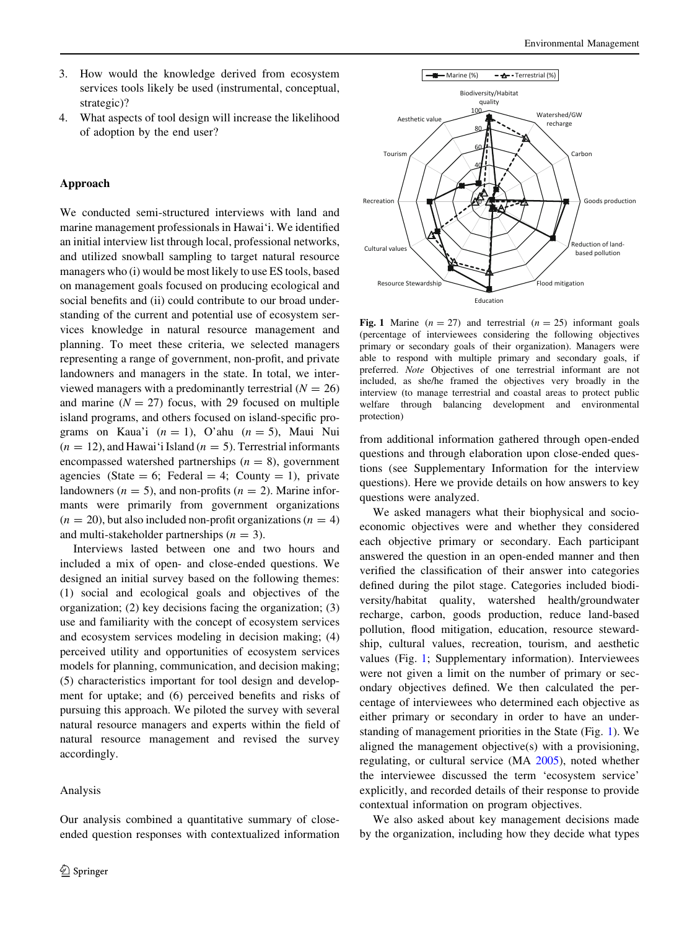- <span id="page-3-0"></span>3. How would the knowledge derived from ecosystem services tools likely be used (instrumental, conceptual, strategic)?
- 4. What aspects of tool design will increase the likelihood of adoption by the end user?

# Approach

We conducted semi-structured interviews with land and marine management professionals in Hawai'i. We identified an initial interview list through local, professional networks, and utilized snowball sampling to target natural resource managers who (i) would be most likely to use ES tools, based on management goals focused on producing ecological and social benefits and (ii) could contribute to our broad understanding of the current and potential use of ecosystem services knowledge in natural resource management and planning. To meet these criteria, we selected managers representing a range of government, non-profit, and private landowners and managers in the state. In total, we interviewed managers with a predominantly terrestrial  $(N = 26)$ and marine  $(N = 27)$  focus, with 29 focused on multiple island programs, and others focused on island-specific programs on Kaua'i  $(n = 1)$ , O'ahu  $(n = 5)$ , Maui Nui  $(n = 12)$ , and Hawai'i Island  $(n = 5)$ . Terrestrial informants encompassed watershed partnerships  $(n = 8)$ , government agencies (State = 6; Federal = 4; County = 1), private landowners ( $n = 5$ ), and non-profits ( $n = 2$ ). Marine informants were primarily from government organizations  $(n = 20)$ , but also included non-profit organizations  $(n = 4)$ and multi-stakeholder partnerships  $(n = 3)$ .

Interviews lasted between one and two hours and included a mix of open- and close-ended questions. We designed an initial survey based on the following themes: (1) social and ecological goals and objectives of the organization; (2) key decisions facing the organization; (3) use and familiarity with the concept of ecosystem services and ecosystem services modeling in decision making; (4) perceived utility and opportunities of ecosystem services models for planning, communication, and decision making; (5) characteristics important for tool design and development for uptake; and (6) perceived benefits and risks of pursuing this approach. We piloted the survey with several natural resource managers and experts within the field of natural resource management and revised the survey accordingly.

#### Analysis

Our analysis combined a quantitative summary of closeended question responses with contextualized information



Fig. 1 Marine ( $n = 27$ ) and terrestrial ( $n = 25$ ) informant goals (percentage of interviewees considering the following objectives primary or secondary goals of their organization). Managers were able to respond with multiple primary and secondary goals, if preferred. Note Objectives of one terrestrial informant are not included, as she/he framed the objectives very broadly in the interview (to manage terrestrial and coastal areas to protect public welfare through balancing development and environmental protection)

from additional information gathered through open-ended questions and through elaboration upon close-ended questions (see Supplementary Information for the interview questions). Here we provide details on how answers to key questions were analyzed.

We asked managers what their biophysical and socioeconomic objectives were and whether they considered each objective primary or secondary. Each participant answered the question in an open-ended manner and then verified the classification of their answer into categories defined during the pilot stage. Categories included biodiversity/habitat quality, watershed health/groundwater recharge, carbon, goods production, reduce land-based pollution, flood mitigation, education, resource stewardship, cultural values, recreation, tourism, and aesthetic values (Fig. 1; Supplementary information). Interviewees were not given a limit on the number of primary or secondary objectives defined. We then calculated the percentage of interviewees who determined each objective as either primary or secondary in order to have an understanding of management priorities in the State (Fig. 1). We aligned the management objective(s) with a provisioning, regulating, or cultural service (MA [2005\)](#page-13-0), noted whether the interviewee discussed the term 'ecosystem service' explicitly, and recorded details of their response to provide contextual information on program objectives.

We also asked about key management decisions made by the organization, including how they decide what types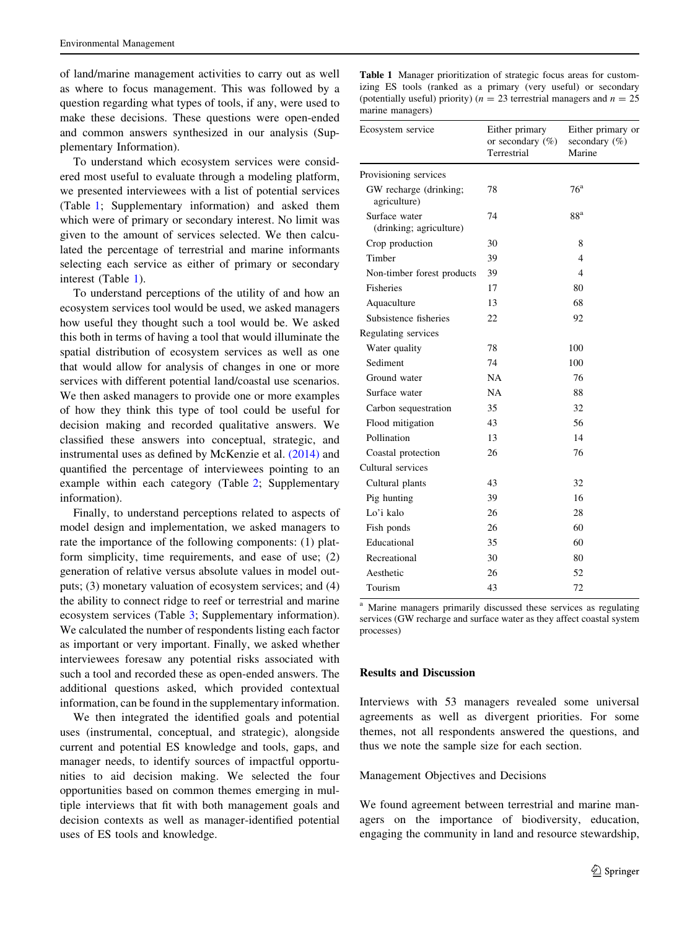<span id="page-4-0"></span>of land/marine management activities to carry out as well as where to focus management. This was followed by a question regarding what types of tools, if any, were used to make these decisions. These questions were open-ended and common answers synthesized in our analysis (Supplementary Information).

To understand which ecosystem services were considered most useful to evaluate through a modeling platform, we presented interviewees with a list of potential services (Table 1; Supplementary information) and asked them which were of primary or secondary interest. No limit was given to the amount of services selected. We then calculated the percentage of terrestrial and marine informants selecting each service as either of primary or secondary interest (Table 1).

To understand perceptions of the utility of and how an ecosystem services tool would be used, we asked managers how useful they thought such a tool would be. We asked this both in terms of having a tool that would illuminate the spatial distribution of ecosystem services as well as one that would allow for analysis of changes in one or more services with different potential land/coastal use scenarios. We then asked managers to provide one or more examples of how they think this type of tool could be useful for decision making and recorded qualitative answers. We classified these answers into conceptual, strategic, and instrumental uses as defined by McKenzie et al. [\(2014\)](#page-14-0) and quantified the percentage of interviewees pointing to an example within each category (Table [2](#page-8-0); Supplementary information).

Finally, to understand perceptions related to aspects of model design and implementation, we asked managers to rate the importance of the following components: (1) platform simplicity, time requirements, and ease of use; (2) generation of relative versus absolute values in model outputs; (3) monetary valuation of ecosystem services; and (4) the ability to connect ridge to reef or terrestrial and marine ecosystem services (Table [3;](#page-10-0) Supplementary information). We calculated the number of respondents listing each factor as important or very important. Finally, we asked whether interviewees foresaw any potential risks associated with such a tool and recorded these as open-ended answers. The additional questions asked, which provided contextual information, can be found in the supplementary information.

We then integrated the identified goals and potential uses (instrumental, conceptual, and strategic), alongside current and potential ES knowledge and tools, gaps, and manager needs, to identify sources of impactful opportunities to aid decision making. We selected the four opportunities based on common themes emerging in multiple interviews that fit with both management goals and decision contexts as well as manager-identified potential uses of ES tools and knowledge.

| <b>Table 1</b> Manager prioritization of strategic focus areas for custom-  |
|-----------------------------------------------------------------------------|
| izing ES tools (ranked as a primary (very useful) or secondary              |
| (potentially useful) priority) ( $n = 23$ terrestrial managers and $n = 25$ |
| marine managers)                                                            |

| Ecosystem service                        | Either primary<br>or secondary $(\%)$<br>Terrestrial | Either primary or<br>secondary $(\%)$<br>Marine |
|------------------------------------------|------------------------------------------------------|-------------------------------------------------|
| Provisioning services                    |                                                      |                                                 |
| GW recharge (drinking;<br>agriculture)   | 78                                                   | 76 <sup>a</sup>                                 |
| Surface water<br>(drinking; agriculture) | 74                                                   | 88 <sup>a</sup>                                 |
| Crop production                          | 30                                                   | 8                                               |
| Timber                                   | 39                                                   | 4                                               |
| Non-timber forest products               | 39                                                   | 4                                               |
| <b>Fisheries</b>                         | 17                                                   | 80                                              |
| Aquaculture                              | 13                                                   | 68                                              |
| Subsistence fisheries                    | 22                                                   | 92                                              |
| Regulating services                      |                                                      |                                                 |
| Water quality                            | 78                                                   | 100                                             |
| Sediment                                 | 74                                                   | 100                                             |
| Ground water                             | <b>NA</b>                                            | 76                                              |
| Surface water                            | <b>NA</b>                                            | 88                                              |
| Carbon sequestration                     | 35                                                   | 32                                              |
| Flood mitigation                         | 43                                                   | 56                                              |
| Pollination                              | 13                                                   | 14                                              |
| Coastal protection                       | 26                                                   | 76                                              |
| Cultural services                        |                                                      |                                                 |
| Cultural plants                          | 43                                                   | 32                                              |
| Pig hunting                              | 39                                                   | 16                                              |
| Lo'i kalo                                | 26                                                   | 28                                              |
| Fish ponds                               | 26                                                   | 60                                              |
| Educational                              | 35                                                   | 60                                              |
| Recreational                             | 30                                                   | 80                                              |
| Aesthetic                                | 26                                                   | 52                                              |
| Tourism                                  | 43                                                   | 72                                              |

<sup>a</sup> Marine managers primarily discussed these services as regulating services (GW recharge and surface water as they affect coastal system processes)

# Results and Discussion

Interviews with 53 managers revealed some universal agreements as well as divergent priorities. For some themes, not all respondents answered the questions, and thus we note the sample size for each section.

## Management Objectives and Decisions

We found agreement between terrestrial and marine managers on the importance of biodiversity, education, engaging the community in land and resource stewardship,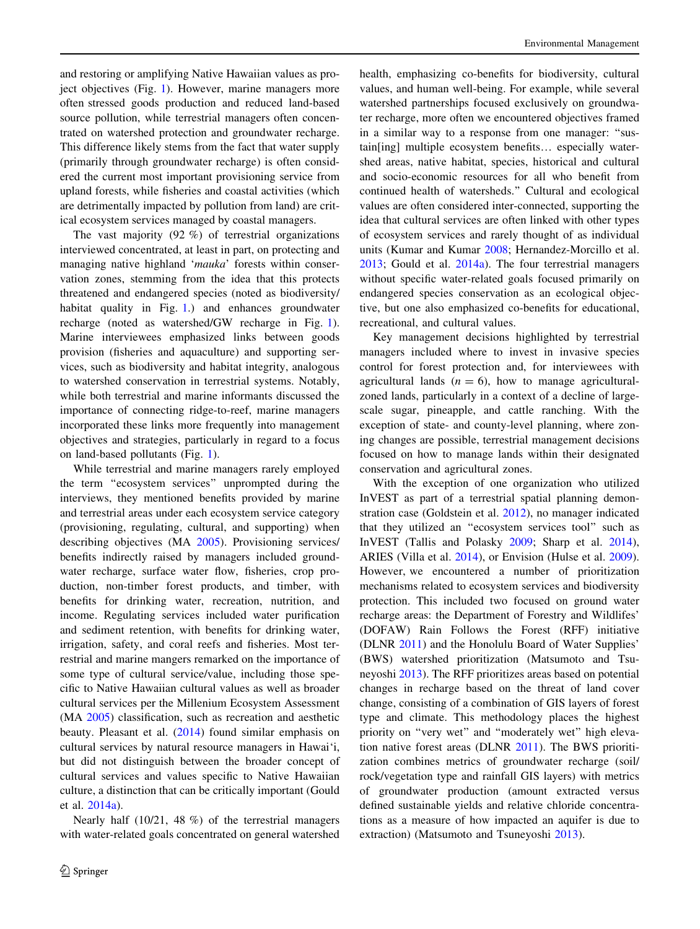and restoring or amplifying Native Hawaiian values as project objectives (Fig. [1\)](#page-3-0). However, marine managers more often stressed goods production and reduced land-based source pollution, while terrestrial managers often concentrated on watershed protection and groundwater recharge. This difference likely stems from the fact that water supply (primarily through groundwater recharge) is often considered the current most important provisioning service from upland forests, while fisheries and coastal activities (which are detrimentally impacted by pollution from land) are critical ecosystem services managed by coastal managers.

The vast majority (92 %) of terrestrial organizations interviewed concentrated, at least in part, on protecting and managing native highland 'mauka' forests within conservation zones, stemming from the idea that this protects threatened and endangered species (noted as biodiversity/ habitat quality in Fig. [1.](#page-3-0)) and enhances groundwater recharge (noted as watershed/GW recharge in Fig. [1](#page-3-0)). Marine interviewees emphasized links between goods provision (fisheries and aquaculture) and supporting services, such as biodiversity and habitat integrity, analogous to watershed conservation in terrestrial systems. Notably, while both terrestrial and marine informants discussed the importance of connecting ridge-to-reef, marine managers incorporated these links more frequently into management objectives and strategies, particularly in regard to a focus on land-based pollutants (Fig. [1](#page-3-0)).

While terrestrial and marine managers rarely employed the term ''ecosystem services'' unprompted during the interviews, they mentioned benefits provided by marine and terrestrial areas under each ecosystem service category (provisioning, regulating, cultural, and supporting) when describing objectives (MA [2005](#page-13-0)). Provisioning services/ benefits indirectly raised by managers included groundwater recharge, surface water flow, fisheries, crop production, non-timber forest products, and timber, with benefits for drinking water, recreation, nutrition, and income. Regulating services included water purification and sediment retention, with benefits for drinking water, irrigation, safety, and coral reefs and fisheries. Most terrestrial and marine mangers remarked on the importance of some type of cultural service/value, including those specific to Native Hawaiian cultural values as well as broader cultural services per the Millenium Ecosystem Assessment (MA [2005\)](#page-13-0) classification, such as recreation and aesthetic beauty. Pleasant et al. ([2014\)](#page-14-0) found similar emphasis on cultural services by natural resource managers in Hawai'i, but did not distinguish between the broader concept of cultural services and values specific to Native Hawaiian culture, a distinction that can be critically important (Gould et al. [2014a](#page-13-0)).

Nearly half (10/21, 48 %) of the terrestrial managers with water-related goals concentrated on general watershed health, emphasizing co-benefits for biodiversity, cultural values, and human well-being. For example, while several watershed partnerships focused exclusively on groundwater recharge, more often we encountered objectives framed in a similar way to a response from one manager: ''sustain[ing] multiple ecosystem benefits… especially watershed areas, native habitat, species, historical and cultural and socio-economic resources for all who benefit from continued health of watersheds.'' Cultural and ecological values are often considered inter-connected, supporting the idea that cultural services are often linked with other types of ecosystem services and rarely thought of as individual units (Kumar and Kumar [2008](#page-13-0); Hernandez-Morcillo et al. [2013](#page-13-0); Gould et al. [2014a](#page-13-0)). The four terrestrial managers without specific water-related goals focused primarily on endangered species conservation as an ecological objective, but one also emphasized co-benefits for educational, recreational, and cultural values.

Key management decisions highlighted by terrestrial managers included where to invest in invasive species control for forest protection and, for interviewees with agricultural lands ( $n = 6$ ), how to manage agriculturalzoned lands, particularly in a context of a decline of largescale sugar, pineapple, and cattle ranching. With the exception of state- and county-level planning, where zoning changes are possible, terrestrial management decisions focused on how to manage lands within their designated conservation and agricultural zones.

With the exception of one organization who utilized InVEST as part of a terrestrial spatial planning demonstration case (Goldstein et al. [2012\)](#page-13-0), no manager indicated that they utilized an ''ecosystem services tool'' such as InVEST (Tallis and Polasky [2009](#page-14-0); Sharp et al. [2014](#page-14-0)), ARIES (Villa et al. [2014](#page-15-0)), or Envision (Hulse et al. [2009](#page-13-0)). However, we encountered a number of prioritization mechanisms related to ecosystem services and biodiversity protection. This included two focused on ground water recharge areas: the Department of Forestry and Wildlifes' (DOFAW) Rain Follows the Forest (RFF) initiative (DLNR [2011\)](#page-13-0) and the Honolulu Board of Water Supplies' (BWS) watershed prioritization (Matsumoto and Tsuneyoshi [2013\)](#page-14-0). The RFF prioritizes areas based on potential changes in recharge based on the threat of land cover change, consisting of a combination of GIS layers of forest type and climate. This methodology places the highest priority on ''very wet'' and ''moderately wet'' high elevation native forest areas (DLNR [2011\)](#page-13-0). The BWS prioritization combines metrics of groundwater recharge (soil/ rock/vegetation type and rainfall GIS layers) with metrics of groundwater production (amount extracted versus defined sustainable yields and relative chloride concentrations as a measure of how impacted an aquifer is due to extraction) (Matsumoto and Tsuneyoshi [2013](#page-14-0)).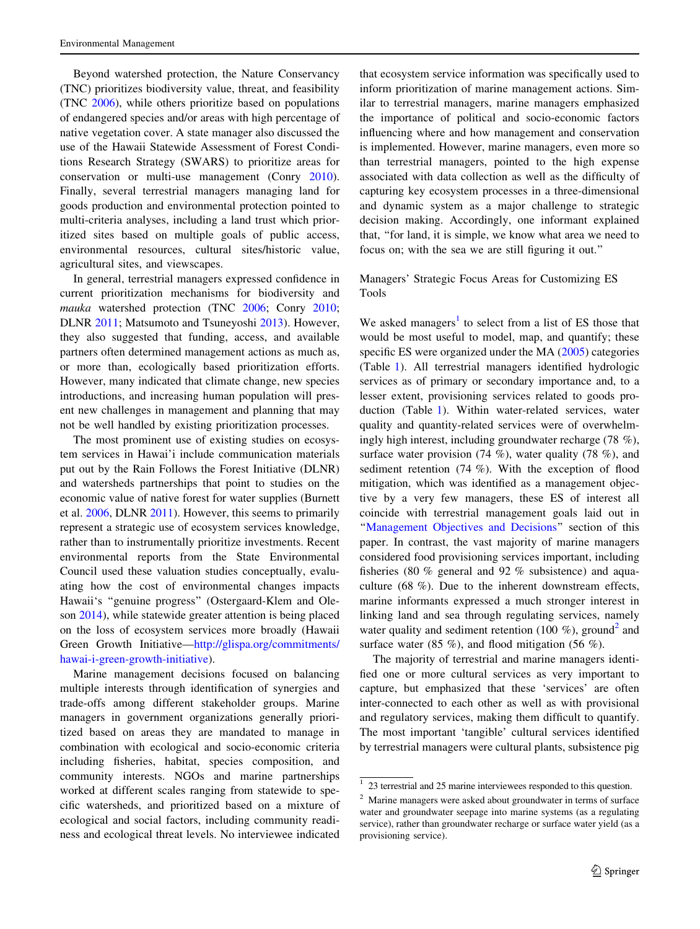Beyond watershed protection, the Nature Conservancy (TNC) prioritizes biodiversity value, threat, and feasibility (TNC [2006](#page-14-0)), while others prioritize based on populations of endangered species and/or areas with high percentage of native vegetation cover. A state manager also discussed the use of the Hawaii Statewide Assessment of Forest Conditions Research Strategy (SWARS) to prioritize areas for conservation or multi-use management (Conry [2010](#page-12-0)). Finally, several terrestrial managers managing land for goods production and environmental protection pointed to multi-criteria analyses, including a land trust which prioritized sites based on multiple goals of public access, environmental resources, cultural sites/historic value, agricultural sites, and viewscapes.

In general, terrestrial managers expressed confidence in current prioritization mechanisms for biodiversity and mauka watershed protection (TNC [2006](#page-14-0); Conry [2010](#page-12-0); DLNR [2011](#page-13-0); Matsumoto and Tsuneyoshi [2013](#page-14-0)). However, they also suggested that funding, access, and available partners often determined management actions as much as, or more than, ecologically based prioritization efforts. However, many indicated that climate change, new species introductions, and increasing human population will present new challenges in management and planning that may not be well handled by existing prioritization processes.

The most prominent use of existing studies on ecosystem services in Hawai'i include communication materials put out by the Rain Follows the Forest Initiative (DLNR) and watersheds partnerships that point to studies on the economic value of native forest for water supplies (Burnett et al. [2006](#page-12-0), DLNR [2011\)](#page-13-0). However, this seems to primarily represent a strategic use of ecosystem services knowledge, rather than to instrumentally prioritize investments. Recent environmental reports from the State Environmental Council used these valuation studies conceptually, evaluating how the cost of environmental changes impacts Hawaii's "genuine progress" (Ostergaard-Klem and Oleson [2014](#page-14-0)), while statewide greater attention is being placed on the loss of ecosystem services more broadly (Hawaii Green Growth Initiative[—http://glispa.org/commitments/](http://glispa.org/commitments/hawai-i-green-growth-initiative) [hawai-i-green-growth-initiative](http://glispa.org/commitments/hawai-i-green-growth-initiative)).

Marine management decisions focused on balancing multiple interests through identification of synergies and trade-offs among different stakeholder groups. Marine managers in government organizations generally prioritized based on areas they are mandated to manage in combination with ecological and socio-economic criteria including fisheries, habitat, species composition, and community interests. NGOs and marine partnerships worked at different scales ranging from statewide to specific watersheds, and prioritized based on a mixture of ecological and social factors, including community readiness and ecological threat levels. No interviewee indicated

that ecosystem service information was specifically used to inform prioritization of marine management actions. Similar to terrestrial managers, marine managers emphasized the importance of political and socio-economic factors influencing where and how management and conservation is implemented. However, marine managers, even more so than terrestrial managers, pointed to the high expense associated with data collection as well as the difficulty of capturing key ecosystem processes in a three-dimensional and dynamic system as a major challenge to strategic decision making. Accordingly, one informant explained that, ''for land, it is simple, we know what area we need to focus on; with the sea we are still figuring it out.''

# Managers' Strategic Focus Areas for Customizing ES Tools

We asked managers<sup>1</sup> to select from a list of ES those that would be most useful to model, map, and quantify; these specific ES were organized under the MA ([2005\)](#page-13-0) categories (Table [1\)](#page-4-0). All terrestrial managers identified hydrologic services as of primary or secondary importance and, to a lesser extent, provisioning services related to goods production (Table [1\)](#page-4-0). Within water-related services, water quality and quantity-related services were of overwhelmingly high interest, including groundwater recharge (78 %), surface water provision  $(74 \%)$ , water quality  $(78 \%)$ , and sediment retention (74 %). With the exception of flood mitigation, which was identified as a management objective by a very few managers, these ES of interest all coincide with terrestrial management goals laid out in "[Management Objectives and Decisions](#page-4-0)" section of this paper. In contrast, the vast majority of marine managers considered food provisioning services important, including fisheries (80 % general and 92 % subsistence) and aquaculture (68 %). Due to the inherent downstream effects, marine informants expressed a much stronger interest in linking land and sea through regulating services, namely water quality and sediment retention (100 %), ground<sup>2</sup> and surface water  $(85 \%)$ , and flood mitigation  $(56 \%)$ .

The majority of terrestrial and marine managers identified one or more cultural services as very important to capture, but emphasized that these 'services' are often inter-connected to each other as well as with provisional and regulatory services, making them difficult to quantify. The most important 'tangible' cultural services identified by terrestrial managers were cultural plants, subsistence pig

<sup>&</sup>lt;sup>1</sup> 23 terrestrial and 25 marine interviewees responded to this question.

<sup>2</sup> Marine managers were asked about groundwater in terms of surface water and groundwater seepage into marine systems (as a regulating service), rather than groundwater recharge or surface water yield (as a provisioning service).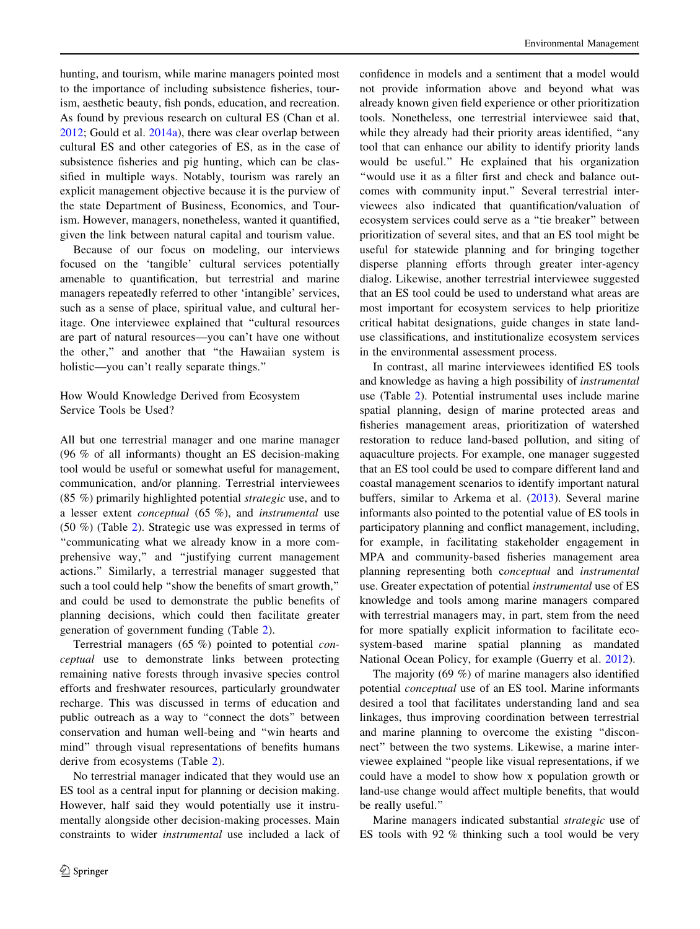hunting, and tourism, while marine managers pointed most to the importance of including subsistence fisheries, tourism, aesthetic beauty, fish ponds, education, and recreation. As found by previous research on cultural ES (Chan et al. [2012;](#page-12-0) Gould et al. [2014a](#page-13-0)), there was clear overlap between cultural ES and other categories of ES, as in the case of subsistence fisheries and pig hunting, which can be classified in multiple ways. Notably, tourism was rarely an explicit management objective because it is the purview of the state Department of Business, Economics, and Tourism. However, managers, nonetheless, wanted it quantified, given the link between natural capital and tourism value.

Because of our focus on modeling, our interviews focused on the 'tangible' cultural services potentially amenable to quantification, but terrestrial and marine managers repeatedly referred to other 'intangible' services, such as a sense of place, spiritual value, and cultural heritage. One interviewee explained that ''cultural resources are part of natural resources—you can't have one without the other,'' and another that ''the Hawaiian system is holistic—you can't really separate things.''

# How Would Knowledge Derived from Ecosystem Service Tools be Used?

All but one terrestrial manager and one marine manager (96 % of all informants) thought an ES decision-making tool would be useful or somewhat useful for management, communication, and/or planning. Terrestrial interviewees (85 %) primarily highlighted potential strategic use, and to a lesser extent *conceptual* (65  $\%$ ), and *instrumental* use (50 %) (Table [2](#page-8-0)). Strategic use was expressed in terms of ''communicating what we already know in a more comprehensive way," and "justifying current management actions.'' Similarly, a terrestrial manager suggested that such a tool could help ''show the benefits of smart growth,'' and could be used to demonstrate the public benefits of planning decisions, which could then facilitate greater generation of government funding (Table [2](#page-8-0)).

Terrestrial managers (65 %) pointed to potential conceptual use to demonstrate links between protecting remaining native forests through invasive species control efforts and freshwater resources, particularly groundwater recharge. This was discussed in terms of education and public outreach as a way to ''connect the dots'' between conservation and human well-being and ''win hearts and mind'' through visual representations of benefits humans derive from ecosystems (Table [2](#page-8-0)).

No terrestrial manager indicated that they would use an ES tool as a central input for planning or decision making. However, half said they would potentially use it instrumentally alongside other decision-making processes. Main constraints to wider instrumental use included a lack of confidence in models and a sentiment that a model would not provide information above and beyond what was already known given field experience or other prioritization tools. Nonetheless, one terrestrial interviewee said that, while they already had their priority areas identified, "any tool that can enhance our ability to identify priority lands would be useful.'' He explained that his organization ''would use it as a filter first and check and balance outcomes with community input.'' Several terrestrial interviewees also indicated that quantification/valuation of ecosystem services could serve as a ''tie breaker'' between prioritization of several sites, and that an ES tool might be useful for statewide planning and for bringing together disperse planning efforts through greater inter-agency dialog. Likewise, another terrestrial interviewee suggested that an ES tool could be used to understand what areas are most important for ecosystem services to help prioritize critical habitat designations, guide changes in state landuse classifications, and institutionalize ecosystem services in the environmental assessment process.

In contrast, all marine interviewees identified ES tools and knowledge as having a high possibility of instrumental use (Table [2\)](#page-8-0). Potential instrumental uses include marine spatial planning, design of marine protected areas and fisheries management areas, prioritization of watershed restoration to reduce land-based pollution, and siting of aquaculture projects. For example, one manager suggested that an ES tool could be used to compare different land and coastal management scenarios to identify important natural buffers, similar to Arkema et al. ([2013\)](#page-12-0). Several marine informants also pointed to the potential value of ES tools in participatory planning and conflict management, including, for example, in facilitating stakeholder engagement in MPA and community-based fisheries management area planning representing both conceptual and instrumental use. Greater expectation of potential instrumental use of ES knowledge and tools among marine managers compared with terrestrial managers may, in part, stem from the need for more spatially explicit information to facilitate ecosystem-based marine spatial planning as mandated National Ocean Policy, for example (Guerry et al. [2012](#page-13-0)).

The majority (69 %) of marine managers also identified potential conceptual use of an ES tool. Marine informants desired a tool that facilitates understanding land and sea linkages, thus improving coordination between terrestrial and marine planning to overcome the existing ''disconnect'' between the two systems. Likewise, a marine interviewee explained ''people like visual representations, if we could have a model to show how x population growth or land-use change would affect multiple benefits, that would be really useful.''

Marine managers indicated substantial strategic use of ES tools with 92 % thinking such a tool would be very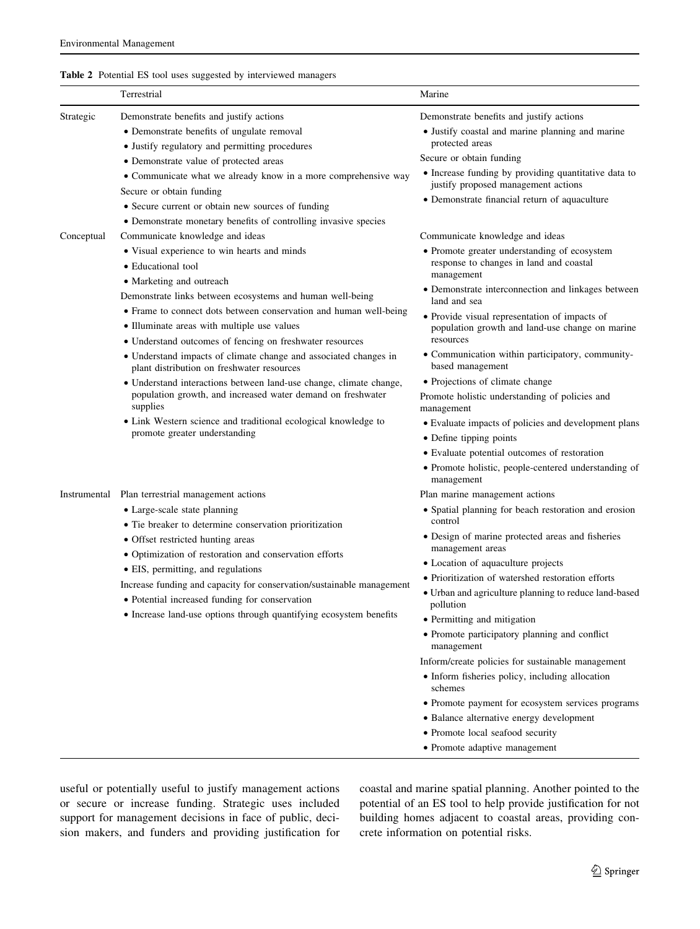# <span id="page-8-0"></span>Table 2 Potential ES tool uses suggested by interviewed managers

|            | Terrestrial                                                                                                                                                                                                                       | Marine                                                                                      |  |
|------------|-----------------------------------------------------------------------------------------------------------------------------------------------------------------------------------------------------------------------------------|---------------------------------------------------------------------------------------------|--|
| Strategic  | Demonstrate benefits and justify actions                                                                                                                                                                                          | Demonstrate benefits and justify actions                                                    |  |
|            | • Demonstrate benefits of ungulate removal<br>• Justify regulatory and permitting procedures                                                                                                                                      | • Justify coastal and marine planning and marine<br>protected areas                         |  |
|            | • Demonstrate value of protected areas                                                                                                                                                                                            | Secure or obtain funding                                                                    |  |
|            | • Communicate what we already know in a more comprehensive way                                                                                                                                                                    | • Increase funding by providing quantitative data to<br>justify proposed management actions |  |
|            | Secure or obtain funding<br>• Secure current or obtain new sources of funding                                                                                                                                                     | • Demonstrate financial return of aquaculture                                               |  |
|            | • Demonstrate monetary benefits of controlling invasive species                                                                                                                                                                   |                                                                                             |  |
| Conceptual | Communicate knowledge and ideas                                                                                                                                                                                                   | Communicate knowledge and ideas                                                             |  |
|            | • Visual experience to win hearts and minds                                                                                                                                                                                       | • Promote greater understanding of ecosystem                                                |  |
|            | • Educational tool                                                                                                                                                                                                                | response to changes in land and coastal<br>management                                       |  |
|            | • Marketing and outreach                                                                                                                                                                                                          | • Demonstrate interconnection and linkages between                                          |  |
|            | Demonstrate links between ecosystems and human well-being                                                                                                                                                                         | land and sea                                                                                |  |
|            | • Frame to connect dots between conservation and human well-being                                                                                                                                                                 | • Provide visual representation of impacts of                                               |  |
|            | • Illuminate areas with multiple use values                                                                                                                                                                                       | population growth and land-use change on marine                                             |  |
|            | • Understand outcomes of fencing on freshwater resources                                                                                                                                                                          | resources                                                                                   |  |
|            | • Understand impacts of climate change and associated changes in<br>plant distribution on freshwater resources                                                                                                                    | • Communication within participatory, community-<br>based management                        |  |
|            | • Understand interactions between land-use change, climate change,<br>population growth, and increased water demand on freshwater<br>supplies                                                                                     | • Projections of climate change                                                             |  |
|            |                                                                                                                                                                                                                                   | Promote holistic understanding of policies and<br>management                                |  |
|            | • Link Western science and traditional ecological knowledge to<br>promote greater understanding                                                                                                                                   | • Evaluate impacts of policies and development plans                                        |  |
|            |                                                                                                                                                                                                                                   | • Define tipping points                                                                     |  |
|            |                                                                                                                                                                                                                                   | • Evaluate potential outcomes of restoration                                                |  |
|            |                                                                                                                                                                                                                                   | • Promote holistic, people-centered understanding of<br>management                          |  |
|            | Instrumental Plan terrestrial management actions                                                                                                                                                                                  | Plan marine management actions                                                              |  |
|            | • Large-scale state planning<br>• Tie breaker to determine conservation prioritization                                                                                                                                            | • Spatial planning for beach restoration and erosion<br>control                             |  |
|            | · Offset restricted hunting areas                                                                                                                                                                                                 | • Design of marine protected areas and fisheries<br>management areas                        |  |
|            | • Optimization of restoration and conservation efforts                                                                                                                                                                            | · Location of aquaculture projects                                                          |  |
|            | • EIS, permitting, and regulations<br>Increase funding and capacity for conservation/sustainable management<br>• Potential increased funding for conservation<br>Increase land-use options through quantifying ecosystem benefits | • Prioritization of watershed restoration efforts                                           |  |
|            |                                                                                                                                                                                                                                   | • Urban and agriculture planning to reduce land-based<br>pollution                          |  |
|            |                                                                                                                                                                                                                                   | • Permitting and mitigation                                                                 |  |
|            |                                                                                                                                                                                                                                   | • Promote participatory planning and conflict<br>management                                 |  |
|            |                                                                                                                                                                                                                                   | Inform/create policies for sustainable management                                           |  |
|            |                                                                                                                                                                                                                                   | • Inform fisheries policy, including allocation<br>schemes                                  |  |
|            |                                                                                                                                                                                                                                   | • Promote payment for ecosystem services programs                                           |  |
|            |                                                                                                                                                                                                                                   | · Balance alternative energy development                                                    |  |
|            |                                                                                                                                                                                                                                   | · Promote local seafood security                                                            |  |
|            |                                                                                                                                                                                                                                   | • Promote adaptive management                                                               |  |
|            |                                                                                                                                                                                                                                   |                                                                                             |  |

useful or potentially useful to justify management actions or secure or increase funding. Strategic uses included support for management decisions in face of public, decision makers, and funders and providing justification for coastal and marine spatial planning. Another pointed to the potential of an ES tool to help provide justification for not building homes adjacent to coastal areas, providing concrete information on potential risks.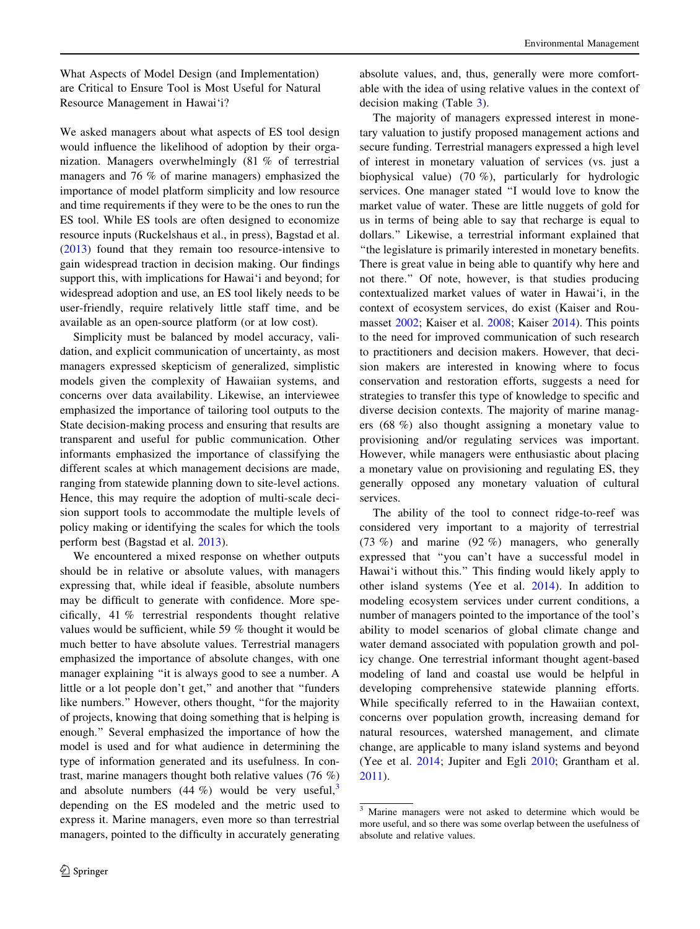What Aspects of Model Design (and Implementation) are Critical to Ensure Tool is Most Useful for Natural Resource Management in Hawai'i?

We asked managers about what aspects of ES tool design would influence the likelihood of adoption by their organization. Managers overwhelmingly (81 % of terrestrial managers and 76 % of marine managers) emphasized the importance of model platform simplicity and low resource and time requirements if they were to be the ones to run the ES tool. While ES tools are often designed to economize resource inputs (Ruckelshaus et al., in press), Bagstad et al. [\(2013](#page-12-0)) found that they remain too resource-intensive to gain widespread traction in decision making. Our findings support this, with implications for Hawai'i and beyond; for widespread adoption and use, an ES tool likely needs to be user-friendly, require relatively little staff time, and be available as an open-source platform (or at low cost).

Simplicity must be balanced by model accuracy, validation, and explicit communication of uncertainty, as most managers expressed skepticism of generalized, simplistic models given the complexity of Hawaiian systems, and concerns over data availability. Likewise, an interviewee emphasized the importance of tailoring tool outputs to the State decision-making process and ensuring that results are transparent and useful for public communication. Other informants emphasized the importance of classifying the different scales at which management decisions are made, ranging from statewide planning down to site-level actions. Hence, this may require the adoption of multi-scale decision support tools to accommodate the multiple levels of policy making or identifying the scales for which the tools perform best (Bagstad et al. [2013\)](#page-12-0).

We encountered a mixed response on whether outputs should be in relative or absolute values, with managers expressing that, while ideal if feasible, absolute numbers may be difficult to generate with confidence. More specifically, 41 % terrestrial respondents thought relative values would be sufficient, while 59 % thought it would be much better to have absolute values. Terrestrial managers emphasized the importance of absolute changes, with one manager explaining ''it is always good to see a number. A little or a lot people don't get," and another that "funders like numbers.'' However, others thought, ''for the majority of projects, knowing that doing something that is helping is enough.'' Several emphasized the importance of how the model is used and for what audience in determining the type of information generated and its usefulness. In contrast, marine managers thought both relative values (76 %) and absolute numbers  $(44 \%)$  would be very useful,<sup>3</sup> depending on the ES modeled and the metric used to express it. Marine managers, even more so than terrestrial managers, pointed to the difficulty in accurately generating

absolute values, and, thus, generally were more comfortable with the idea of using relative values in the context of decision making (Table [3\)](#page-10-0).

The majority of managers expressed interest in monetary valuation to justify proposed management actions and secure funding. Terrestrial managers expressed a high level of interest in monetary valuation of services (vs. just a biophysical value) (70 %), particularly for hydrologic services. One manager stated ''I would love to know the market value of water. These are little nuggets of gold for us in terms of being able to say that recharge is equal to dollars.'' Likewise, a terrestrial informant explained that ''the legislature is primarily interested in monetary benefits. There is great value in being able to quantify why here and not there.'' Of note, however, is that studies producing contextualized market values of water in Hawai'i, in the context of ecosystem services, do exist (Kaiser and Roumasset [2002](#page-13-0); Kaiser et al. [2008;](#page-13-0) Kaiser [2014\)](#page-13-0). This points to the need for improved communication of such research to practitioners and decision makers. However, that decision makers are interested in knowing where to focus conservation and restoration efforts, suggests a need for strategies to transfer this type of knowledge to specific and diverse decision contexts. The majority of marine managers (68 %) also thought assigning a monetary value to provisioning and/or regulating services was important. However, while managers were enthusiastic about placing a monetary value on provisioning and regulating ES, they generally opposed any monetary valuation of cultural services.

The ability of the tool to connect ridge-to-reef was considered very important to a majority of terrestrial (73 %) and marine (92 %) managers, who generally expressed that ''you can't have a successful model in Hawai'i without this.'' This finding would likely apply to other island systems (Yee et al. [2014\)](#page-15-0). In addition to modeling ecosystem services under current conditions, a number of managers pointed to the importance of the tool's ability to model scenarios of global climate change and water demand associated with population growth and policy change. One terrestrial informant thought agent-based modeling of land and coastal use would be helpful in developing comprehensive statewide planning efforts. While specifically referred to in the Hawaiian context, concerns over population growth, increasing demand for natural resources, watershed management, and climate change, are applicable to many island systems and beyond (Yee et al. [2014;](#page-15-0) Jupiter and Egli [2010](#page-13-0); Grantham et al. [2011](#page-13-0)).

<sup>3</sup> Marine managers were not asked to determine which would be more useful, and so there was some overlap between the usefulness of absolute and relative values.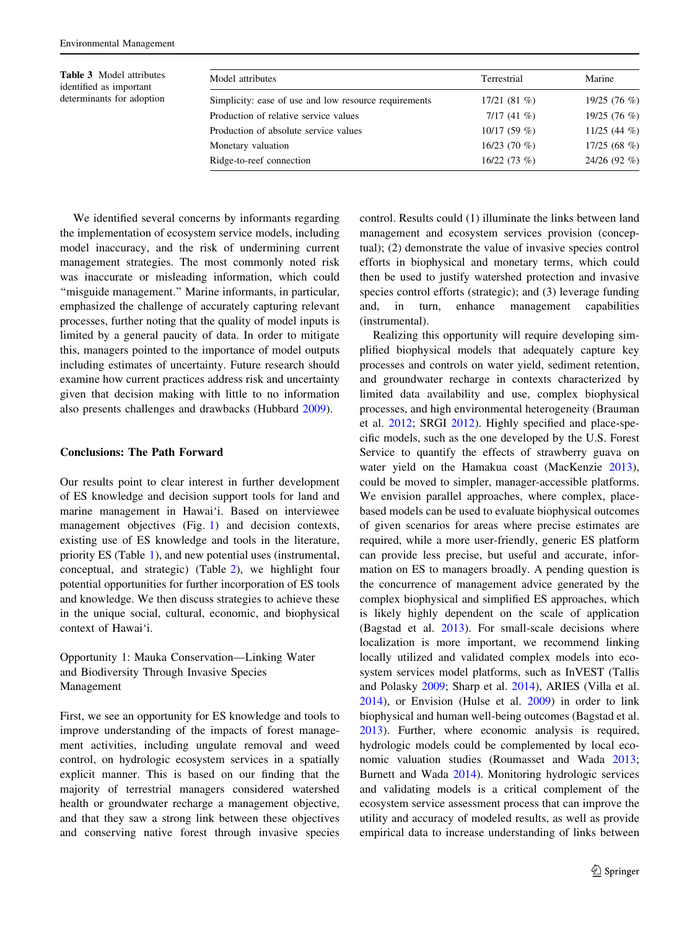<span id="page-10-0"></span>

| Table 3 Model attributes<br>identified as important<br>determinants for adoption | Model attributes                                      | Terrestrial   | Marine       |
|----------------------------------------------------------------------------------|-------------------------------------------------------|---------------|--------------|
|                                                                                  | Simplicity: ease of use and low resource requirements | 17/21(81%)    | 19/25(76%)   |
|                                                                                  | Production of relative service values                 | 7/17(41%      | 19/25(76%)   |
|                                                                                  | Production of absolute service values                 | $10/17(59\%)$ | 11/25(44%)   |
|                                                                                  | Monetary valuation                                    | $16/23(70\%)$ | 17/25(68%)   |
|                                                                                  | Ridge-to-reef connection                              | 16/22(73%)    | $24/26(92\%$ |

We identified several concerns by informants regarding the implementation of ecosystem service models, including model inaccuracy, and the risk of undermining current management strategies. The most commonly noted risk was inaccurate or misleading information, which could "misguide management." Marine informants, in particular, emphasized the challenge of accurately capturing relevant processes, further noting that the quality of model inputs is limited by a general paucity of data. In order to mitigate this, managers pointed to the importance of model outputs including estimates of uncertainty. Future research should examine how current practices address risk and uncertainty given that decision making with little to no information also presents challenges and drawbacks (Hubbard [2009\)](#page-13-0).

### Conclusions: The Path Forward

Our results point to clear interest in further development of ES knowledge and decision support tools for land and marine management in Hawai'i. Based on interviewee management objectives (Fig. [1](#page-3-0)) and decision contexts, existing use of ES knowledge and tools in the literature, priority ES (Table [1\)](#page-4-0), and new potential uses (instrumental, conceptual, and strategic) (Table [2](#page-8-0)), we highlight four potential opportunities for further incorporation of ES tools and knowledge. We then discuss strategies to achieve these in the unique social, cultural, economic, and biophysical context of Hawai'i.

Opportunity 1: Mauka Conservation—Linking Water and Biodiversity Through Invasive Species Management

First, we see an opportunity for ES knowledge and tools to improve understanding of the impacts of forest management activities, including ungulate removal and weed control, on hydrologic ecosystem services in a spatially explicit manner. This is based on our finding that the majority of terrestrial managers considered watershed health or groundwater recharge a management objective, and that they saw a strong link between these objectives and conserving native forest through invasive species control. Results could (1) illuminate the links between land management and ecosystem services provision (conceptual); (2) demonstrate the value of invasive species control efforts in biophysical and monetary terms, which could then be used to justify watershed protection and invasive species control efforts (strategic); and (3) leverage funding and, in turn, enhance management capabilities (instrumental).

Realizing this opportunity will require developing simplified biophysical models that adequately capture key processes and controls on water yield, sediment retention, and groundwater recharge in contexts characterized by limited data availability and use, complex biophysical processes, and high environmental heterogeneity (Brauman et al. [2012;](#page-12-0) SRGI [2012](#page-14-0)). Highly specified and place-specific models, such as the one developed by the U.S. Forest Service to quantify the effects of strawberry guava on water yield on the Hamakua coast (MacKenzie [2013](#page-13-0)), could be moved to simpler, manager-accessible platforms. We envision parallel approaches, where complex, placebased models can be used to evaluate biophysical outcomes of given scenarios for areas where precise estimates are required, while a more user-friendly, generic ES platform can provide less precise, but useful and accurate, information on ES to managers broadly. A pending question is the concurrence of management advice generated by the complex biophysical and simplified ES approaches, which is likely highly dependent on the scale of application (Bagstad et al. [2013](#page-12-0)). For small-scale decisions where localization is more important, we recommend linking locally utilized and validated complex models into ecosystem services model platforms, such as InVEST (Tallis and Polasky [2009;](#page-14-0) Sharp et al. [2014\)](#page-14-0), ARIES (Villa et al. [2014](#page-15-0)), or Envision (Hulse et al. [2009\)](#page-13-0) in order to link biophysical and human well-being outcomes (Bagstad et al. [2013](#page-12-0)). Further, where economic analysis is required, hydrologic models could be complemented by local economic valuation studies (Roumasset and Wada [2013](#page-14-0); Burnett and Wada [2014\)](#page-12-0). Monitoring hydrologic services and validating models is a critical complement of the ecosystem service assessment process that can improve the utility and accuracy of modeled results, as well as provide empirical data to increase understanding of links between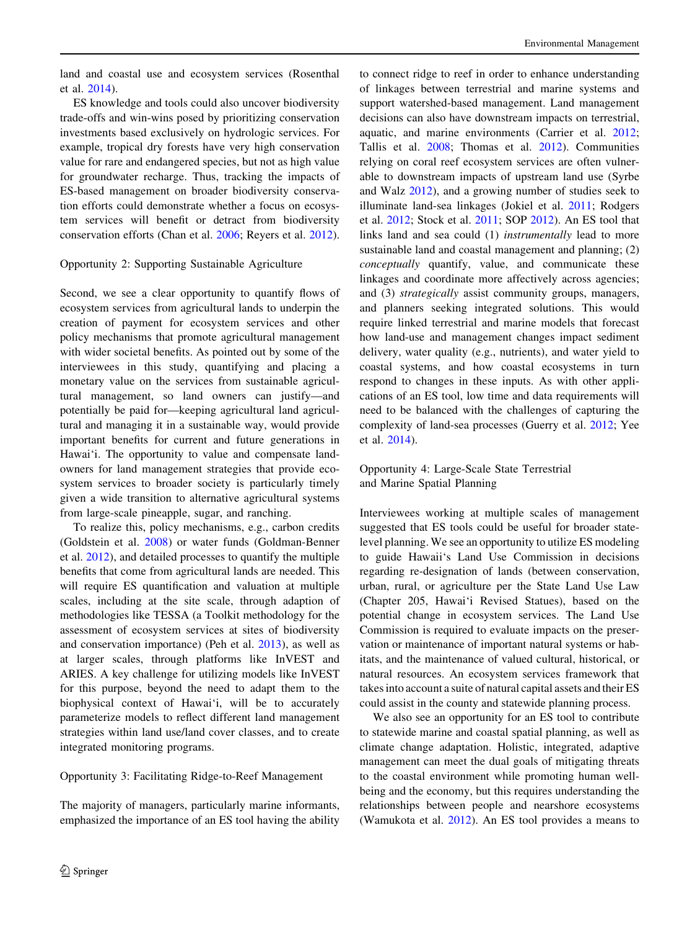land and coastal use and ecosystem services (Rosenthal et al. [2014\)](#page-14-0).

ES knowledge and tools could also uncover biodiversity trade-offs and win-wins posed by prioritizing conservation investments based exclusively on hydrologic services. For example, tropical dry forests have very high conservation value for rare and endangered species, but not as high value for groundwater recharge. Thus, tracking the impacts of ES-based management on broader biodiversity conservation efforts could demonstrate whether a focus on ecosystem services will benefit or detract from biodiversity conservation efforts (Chan et al. [2006](#page-12-0); Reyers et al. [2012](#page-14-0)).

## Opportunity 2: Supporting Sustainable Agriculture

Second, we see a clear opportunity to quantify flows of ecosystem services from agricultural lands to underpin the creation of payment for ecosystem services and other policy mechanisms that promote agricultural management with wider societal benefits. As pointed out by some of the interviewees in this study, quantifying and placing a monetary value on the services from sustainable agricultural management, so land owners can justify—and potentially be paid for—keeping agricultural land agricultural and managing it in a sustainable way, would provide important benefits for current and future generations in Hawai'i. The opportunity to value and compensate landowners for land management strategies that provide ecosystem services to broader society is particularly timely given a wide transition to alternative agricultural systems from large-scale pineapple, sugar, and ranching.

To realize this, policy mechanisms, e.g., carbon credits (Goldstein et al. [2008](#page-13-0)) or water funds (Goldman-Benner et al. [2012](#page-13-0)), and detailed processes to quantify the multiple benefits that come from agricultural lands are needed. This will require ES quantification and valuation at multiple scales, including at the site scale, through adaption of methodologies like TESSA (a Toolkit methodology for the assessment of ecosystem services at sites of biodiversity and conservation importance) (Peh et al. [2013\)](#page-14-0), as well as at larger scales, through platforms like InVEST and ARIES. A key challenge for utilizing models like InVEST for this purpose, beyond the need to adapt them to the biophysical context of Hawai'i, will be to accurately parameterize models to reflect different land management strategies within land use/land cover classes, and to create integrated monitoring programs.

#### Opportunity 3: Facilitating Ridge-to-Reef Management

The majority of managers, particularly marine informants, emphasized the importance of an ES tool having the ability to connect ridge to reef in order to enhance understanding of linkages between terrestrial and marine systems and support watershed-based management. Land management decisions can also have downstream impacts on terrestrial, aquatic, and marine environments (Carrier et al. [2012](#page-12-0); Tallis et al. [2008](#page-14-0); Thomas et al. [2012\)](#page-14-0). Communities relying on coral reef ecosystem services are often vulnerable to downstream impacts of upstream land use (Syrbe and Walz [2012](#page-14-0)), and a growing number of studies seek to illuminate land-sea linkages (Jokiel et al. [2011;](#page-13-0) Rodgers et al. [2012](#page-14-0); Stock et al. [2011](#page-14-0); SOP [2012\)](#page-14-0). An ES tool that links land and sea could (1) *instrumentally* lead to more sustainable land and coastal management and planning; (2) conceptually quantify, value, and communicate these linkages and coordinate more affectively across agencies; and (3) strategically assist community groups, managers, and planners seeking integrated solutions. This would require linked terrestrial and marine models that forecast how land-use and management changes impact sediment delivery, water quality (e.g., nutrients), and water yield to coastal systems, and how coastal ecosystems in turn respond to changes in these inputs. As with other applications of an ES tool, low time and data requirements will need to be balanced with the challenges of capturing the complexity of land-sea processes (Guerry et al. [2012](#page-13-0); Yee et al. [2014\)](#page-15-0).

# Opportunity 4: Large-Scale State Terrestrial and Marine Spatial Planning

Interviewees working at multiple scales of management suggested that ES tools could be useful for broader statelevel planning. We see an opportunity to utilize ES modeling to guide Hawaii's Land Use Commission in decisions regarding re-designation of lands (between conservation, urban, rural, or agriculture per the State Land Use Law (Chapter 205, Hawai'i Revised Statues), based on the potential change in ecosystem services. The Land Use Commission is required to evaluate impacts on the preservation or maintenance of important natural systems or habitats, and the maintenance of valued cultural, historical, or natural resources. An ecosystem services framework that takes into account a suite of natural capital assets and their ES could assist in the county and statewide planning process.

We also see an opportunity for an ES tool to contribute to statewide marine and coastal spatial planning, as well as climate change adaptation. Holistic, integrated, adaptive management can meet the dual goals of mitigating threats to the coastal environment while promoting human wellbeing and the economy, but this requires understanding the relationships between people and nearshore ecosystems (Wamukota et al. [2012](#page-15-0)). An ES tool provides a means to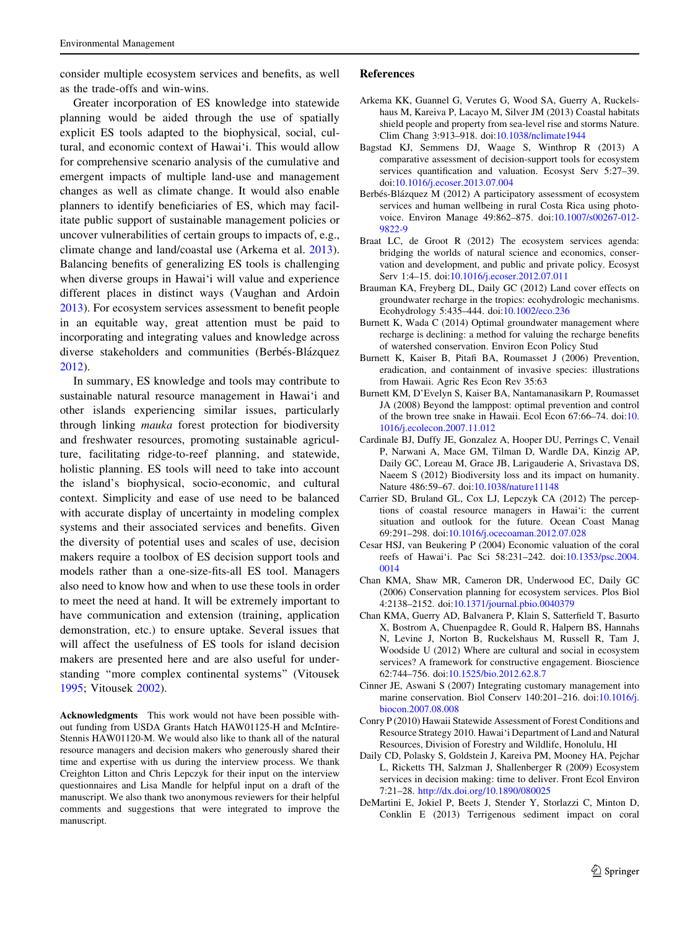<span id="page-12-0"></span>consider multiple ecosystem services and benefits, as well as the trade-offs and win-wins.

Greater incorporation of ES knowledge into statewide planning would be aided through the use of spatially explicit ES tools adapted to the biophysical, social, cultural, and economic context of Hawai'i. This would allow for comprehensive scenario analysis of the cumulative and emergent impacts of multiple land-use and management changes as well as climate change. It would also enable planners to identify beneficiaries of ES, which may facilitate public support of sustainable management policies or uncover vulnerabilities of certain groups to impacts of, e.g., climate change and land/coastal use (Arkema et al. 2013). Balancing benefits of generalizing ES tools is challenging when diverse groups in Hawai'i will value and experience different places in distinct ways (Vaughan and Ardoin [2013\)](#page-14-0). For ecosystem services assessment to benefit people in an equitable way, great attention must be paid to incorporating and integrating values and knowledge across diverse stakeholders and communities (Berbés-Blázquez 2012).

In summary, ES knowledge and tools may contribute to sustainable natural resource management in Hawai'i and other islands experiencing similar issues, particularly through linking mauka forest protection for biodiversity and freshwater resources, promoting sustainable agriculture, facilitating ridge-to-reef planning, and statewide, holistic planning. ES tools will need to take into account the island's biophysical, socio-economic, and cultural context. Simplicity and ease of use need to be balanced with accurate display of uncertainty in modeling complex systems and their associated services and benefits. Given the diversity of potential uses and scales of use, decision makers require a toolbox of ES decision support tools and models rather than a one-size-fits-all ES tool. Managers also need to know how and when to use these tools in order to meet the need at hand. It will be extremely important to have communication and extension (training, application demonstration, etc.) to ensure uptake. Several issues that will affect the usefulness of ES tools for island decision makers are presented here and are also useful for understanding ''more complex continental systems'' (Vitousek [1995;](#page-15-0) Vitousek [2002](#page-15-0)).

Acknowledgments This work would not have been possible without funding from USDA Grants Hatch HAW01125-H and McIntire-Stennis HAW01120-M. We would also like to thank all of the natural resource managers and decision makers who generously shared their time and expertise with us during the interview process. We thank Creighton Litton and Chris Lepczyk for their input on the interview questionnaires and Lisa Mandle for helpful input on a draft of the manuscript. We also thank two anonymous reviewers for their helpful comments and suggestions that were integrated to improve the manuscript.

## References

- Arkema KK, Guannel G, Verutes G, Wood SA, Guerry A, Ruckelshaus M, Kareiva P, Lacayo M, Silver JM (2013) Coastal habitats shield people and property from sea-level rise and storms Nature. Clim Chang 3:913–918. doi[:10.1038/nclimate1944](http://dx.doi.org/10.1038/nclimate1944)
- Bagstad KJ, Semmens DJ, Waage S, Winthrop R (2013) A comparative assessment of decision-support tools for ecosystem services quantification and valuation. Ecosyst Serv 5:27–39. doi[:10.1016/j.ecoser.2013.07.004](http://dx.doi.org/10.1016/j.ecoser.2013.07.004)
- Berbés-Blázquez M (2012) A participatory assessment of ecosystem services and human wellbeing in rural Costa Rica using photovoice. Environ Manage 49:862–875. doi:[10.1007/s00267-012-](http://dx.doi.org/10.1007/s00267-012-9822-9) [9822-9](http://dx.doi.org/10.1007/s00267-012-9822-9)
- Braat LC, de Groot R (2012) The ecosystem services agenda: bridging the worlds of natural science and economics, conservation and development, and public and private policy. Ecosyst Serv 1:4–15. doi[:10.1016/j.ecoser.2012.07.011](http://dx.doi.org/10.1016/j.ecoser.2012.07.011)
- Brauman KA, Freyberg DL, Daily GC (2012) Land cover effects on groundwater recharge in the tropics: ecohydrologic mechanisms. Ecohydrology 5:435–444. doi[:10.1002/eco.236](http://dx.doi.org/10.1002/eco.236)
- Burnett K, Wada C (2014) Optimal groundwater management where recharge is declining: a method for valuing the recharge benefits of watershed conservation. Environ Econ Policy Stud
- Burnett K, Kaiser B, Pitafi BA, Roumasset J (2006) Prevention, eradication, and containment of invasive species: illustrations from Hawaii. Agric Res Econ Rev 35:63
- Burnett KM, D'Evelyn S, Kaiser BA, Nantamanasikarn P, Roumasset JA (2008) Beyond the lamppost: optimal prevention and control of the brown tree snake in Hawaii. Ecol Econ 67:66–74. doi:[10.](http://dx.doi.org/10.1016/j.ecolecon.2007.11.012) [1016/j.ecolecon.2007.11.012](http://dx.doi.org/10.1016/j.ecolecon.2007.11.012)
- Cardinale BJ, Duffy JE, Gonzalez A, Hooper DU, Perrings C, Venail P, Narwani A, Mace GM, Tilman D, Wardle DA, Kinzig AP, Daily GC, Loreau M, Grace JB, Larigauderie A, Srivastava DS, Naeem S (2012) Biodiversity loss and its impact on humanity. Nature 486:59–67. doi:[10.1038/nature11148](http://dx.doi.org/10.1038/nature11148)
- Carrier SD, Bruland GL, Cox LJ, Lepczyk CA (2012) The perceptions of coastal resource managers in Hawai'i: the current situation and outlook for the future. Ocean Coast Manag 69:291–298. doi:[10.1016/j.ocecoaman.2012.07.028](http://dx.doi.org/10.1016/j.ocecoaman.2012.07.028)
- Cesar HSJ, van Beukering P (2004) Economic valuation of the coral reefs of Hawai'i. Pac Sci 58:231–242. doi:[10.1353/psc.2004.](http://dx.doi.org/10.1353/psc.2004.0014) [0014](http://dx.doi.org/10.1353/psc.2004.0014)
- Chan KMA, Shaw MR, Cameron DR, Underwood EC, Daily GC (2006) Conservation planning for ecosystem services. Plos Biol 4:2138–2152. doi[:10.1371/journal.pbio.0040379](http://dx.doi.org/10.1371/journal.pbio.0040379)
- Chan KMA, Guerry AD, Balvanera P, Klain S, Satterfield T, Basurto X, Bostrom A, Chuenpagdee R, Gould R, Halpern BS, Hannahs N, Levine J, Norton B, Ruckelshaus M, Russell R, Tam J, Woodside U (2012) Where are cultural and social in ecosystem services? A framework for constructive engagement. Bioscience 62:744–756. doi:[10.1525/bio.2012.62.8.7](http://dx.doi.org/10.1525/bio.2012.62.8.7)
- Cinner JE, Aswani S (2007) Integrating customary management into marine conservation. Biol Conserv 140:201–216. doi:[10.1016/j.](http://dx.doi.org/10.1016/j.biocon.2007.08.008) [biocon.2007.08.008](http://dx.doi.org/10.1016/j.biocon.2007.08.008)
- Conry P (2010) Hawaii Statewide Assessment of Forest Conditions and Resource Strategy 2010. Hawai'i Department of Land and Natural Resources, Division of Forestry and Wildlife, Honolulu, HI
- Daily CD, Polasky S, Goldstein J, Kareiva PM, Mooney HA, Pejchar L, Ricketts TH, Salzman J, Shallenberger R (2009) Ecosystem services in decision making: time to deliver. Front Ecol Environ 7:21–28. <http://dx.doi.org/10.1890/080025>
- DeMartini E, Jokiel P, Beets J, Stender Y, Storlazzi C, Minton D, Conklin E (2013) Terrigenous sediment impact on coral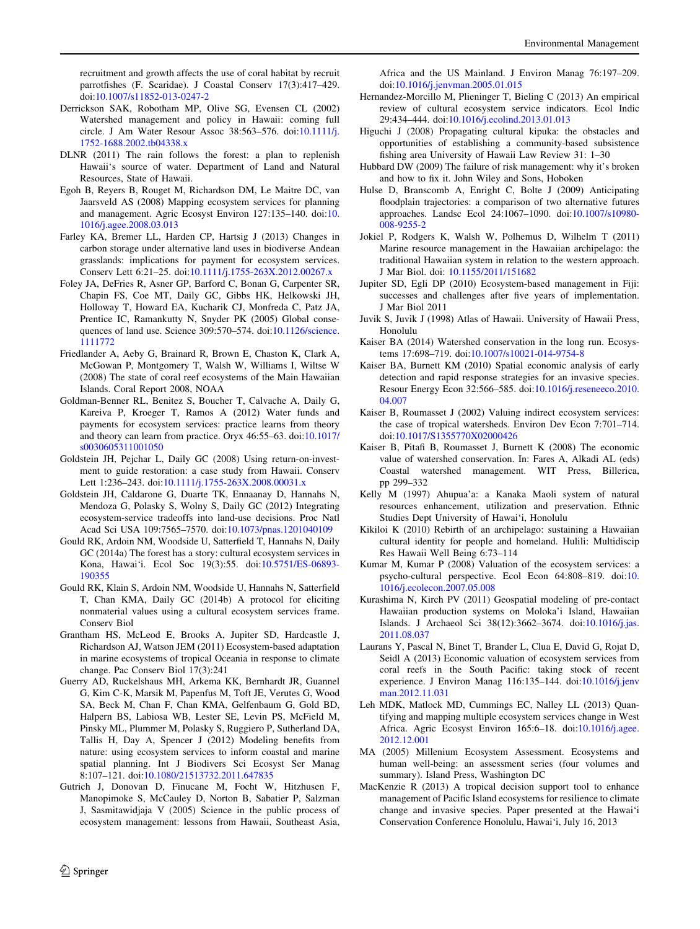<span id="page-13-0"></span>recruitment and growth affects the use of coral habitat by recruit parrotfishes (F. Scaridae). J Coastal Conserv 17(3):417–429. doi[:10.1007/s11852-013-0247-2](http://dx.doi.org/10.1007/s11852-013-0247-2)

- Derrickson SAK, Robotham MP, Olive SG, Evensen CL (2002) Watershed management and policy in Hawaii: coming full circle. J Am Water Resour Assoc 38:563–576. doi:[10.1111/j.](http://dx.doi.org/10.1111/j.1752-1688.2002.tb04338.x) [1752-1688.2002.tb04338.x](http://dx.doi.org/10.1111/j.1752-1688.2002.tb04338.x)
- DLNR (2011) The rain follows the forest: a plan to replenish Hawaii's source of water. Department of Land and Natural Resources, State of Hawaii.
- Egoh B, Reyers B, Rouget M, Richardson DM, Le Maitre DC, van Jaarsveld AS (2008) Mapping ecosystem services for planning and management. Agric Ecosyst Environ 127:135–140. doi:[10.](http://dx.doi.org/10.1016/j.agee.2008.03.013) [1016/j.agee.2008.03.013](http://dx.doi.org/10.1016/j.agee.2008.03.013)
- Farley KA, Bremer LL, Harden CP, Hartsig J (2013) Changes in carbon storage under alternative land uses in biodiverse Andean grasslands: implications for payment for ecosystem services. Conserv Lett 6:21–25. doi:[10.1111/j.1755-263X.2012.00267.x](http://dx.doi.org/10.1111/j.1755-263X.2012.00267.x)
- Foley JA, DeFries R, Asner GP, Barford C, Bonan G, Carpenter SR, Chapin FS, Coe MT, Daily GC, Gibbs HK, Helkowski JH, Holloway T, Howard EA, Kucharik CJ, Monfreda C, Patz JA, Prentice IC, Ramankutty N, Snyder PK (2005) Global consequences of land use. Science 309:570–574. doi[:10.1126/science.](http://dx.doi.org/10.1126/science.1111772) [1111772](http://dx.doi.org/10.1126/science.1111772)
- Friedlander A, Aeby G, Brainard R, Brown E, Chaston K, Clark A, McGowan P, Montgomery T, Walsh W, Williams I, Wiltse W (2008) The state of coral reef ecosystems of the Main Hawaiian Islands. Coral Report 2008, NOAA
- Goldman-Benner RL, Benitez S, Boucher T, Calvache A, Daily G, Kareiva P, Kroeger T, Ramos A (2012) Water funds and payments for ecosystem services: practice learns from theory and theory can learn from practice. Oryx 46:55–63. doi[:10.1017/](http://dx.doi.org/10.1017/s0030605311001050) [s0030605311001050](http://dx.doi.org/10.1017/s0030605311001050)
- Goldstein JH, Pejchar L, Daily GC (2008) Using return-on-investment to guide restoration: a case study from Hawaii. Conserv Lett 1:236–243. doi[:10.1111/j.1755-263X.2008.00031.x](http://dx.doi.org/10.1111/j.1755-263X.2008.00031.x)
- Goldstein JH, Caldarone G, Duarte TK, Ennaanay D, Hannahs N, Mendoza G, Polasky S, Wolny S, Daily GC (2012) Integrating ecosystem-service tradeoffs into land-use decisions. Proc Natl Acad Sci USA 109:7565–7570. doi[:10.1073/pnas.1201040109](http://dx.doi.org/10.1073/pnas.1201040109)
- Gould RK, Ardoin NM, Woodside U, Satterfield T, Hannahs N, Daily GC (2014a) The forest has a story: cultural ecosystem services in Kona, Hawai'i. Ecol Soc 19(3):55. doi:[10.5751/ES-06893-](http://dx.doi.org/10.5751/ES-06893-190355) [190355](http://dx.doi.org/10.5751/ES-06893-190355)
- Gould RK, Klain S, Ardoin NM, Woodside U, Hannahs N, Satterfield T, Chan KMA, Daily GC (2014b) A protocol for eliciting nonmaterial values using a cultural ecosystem services frame. Conserv Biol
- Grantham HS, McLeod E, Brooks A, Jupiter SD, Hardcastle J, Richardson AJ, Watson JEM (2011) Ecosystem-based adaptation in marine ecosystems of tropical Oceania in response to climate change. Pac Conserv Biol 17(3):241
- Guerry AD, Ruckelshaus MH, Arkema KK, Bernhardt JR, Guannel G, Kim C-K, Marsik M, Papenfus M, Toft JE, Verutes G, Wood SA, Beck M, Chan F, Chan KMA, Gelfenbaum G, Gold BD, Halpern BS, Labiosa WB, Lester SE, Levin PS, McField M, Pinsky ML, Plummer M, Polasky S, Ruggiero P, Sutherland DA, Tallis H, Day A, Spencer J (2012) Modeling benefits from nature: using ecosystem services to inform coastal and marine spatial planning. Int J Biodivers Sci Ecosyst Ser Manag 8:107–121. doi[:10.1080/21513732.2011.647835](http://dx.doi.org/10.1080/21513732.2011.647835)
- Gutrich J, Donovan D, Finucane M, Focht W, Hitzhusen F, Manopimoke S, McCauley D, Norton B, Sabatier P, Salzman J, Sasmitawidjaja V (2005) Science in the public process of ecosystem management: lessons from Hawaii, Southeast Asia,

Africa and the US Mainland. J Environ Manag 76:197–209. doi[:10.1016/j.jenvman.2005.01.015](http://dx.doi.org/10.1016/j.jenvman.2005.01.015)

- Hernandez-Morcillo M, Plieninger T, Bieling C (2013) An empirical review of cultural ecosystem service indicators. Ecol Indic 29:434–444. doi:[10.1016/j.ecolind.2013.01.013](http://dx.doi.org/10.1016/j.ecolind.2013.01.013)
- Higuchi J (2008) Propagating cultural kipuka: the obstacles and opportunities of establishing a community-based subsistence fishing area University of Hawaii Law Review 31: 1–30
- Hubbard DW (2009) The failure of risk management: why it's broken and how to fix it. John Wiley and Sons, Hoboken
- Hulse D, Branscomb A, Enright C, Bolte J (2009) Anticipating floodplain trajectories: a comparison of two alternative futures approaches. Landsc Ecol 24:1067–1090. doi[:10.1007/s10980-](http://dx.doi.org/10.1007/s10980-008-9255-2) [008-9255-2](http://dx.doi.org/10.1007/s10980-008-9255-2)
- Jokiel P, Rodgers K, Walsh W, Polhemus D, Wilhelm T (2011) Marine resource management in the Hawaiian archipelago: the traditional Hawaiian system in relation to the western approach. J Mar Biol. doi: [10.1155/2011/151682](http://dx.doi.org/10.1155/2011/151682)
- Jupiter SD, Egli DP (2010) Ecosystem-based management in Fiji: successes and challenges after five years of implementation. J Mar Biol 2011
- Juvik S, Juvik J (1998) Atlas of Hawaii. University of Hawaii Press, Honolulu
- Kaiser BA (2014) Watershed conservation in the long run. Ecosystems 17:698–719. doi:[10.1007/s10021-014-9754-8](http://dx.doi.org/10.1007/s10021-014-9754-8)
- Kaiser BA, Burnett KM (2010) Spatial economic analysis of early detection and rapid response strategies for an invasive species. Resour Energy Econ 32:566–585. doi[:10.1016/j.reseneeco.2010.](http://dx.doi.org/10.1016/j.reseneeco.2010.04.007) [04.007](http://dx.doi.org/10.1016/j.reseneeco.2010.04.007)
- Kaiser B, Roumasset J (2002) Valuing indirect ecosystem services: the case of tropical watersheds. Environ Dev Econ 7:701–714. doi[:10.1017/S1355770X02000426](http://dx.doi.org/10.1017/S1355770X02000426)
- Kaiser B, Pitafi B, Roumasset J, Burnett K (2008) The economic value of watershed conservation. In: Fares A, Alkadi AL (eds) Coastal watershed management. WIT Press, Billerica, pp 299–332
- Kelly M (1997) Ahupua'a: a Kanaka Maoli system of natural resources enhancement, utilization and preservation. Ethnic Studies Dept University of Hawai'i, Honolulu
- Kikiloi K (2010) Rebirth of an archipelago: sustaining a Hawaiian cultural identity for people and homeland. Hulili: Multidiscip Res Hawaii Well Being 6:73–114
- Kumar M, Kumar P (2008) Valuation of the ecosystem services: a psycho-cultural perspective. Ecol Econ 64:808–819. doi:[10.](http://dx.doi.org/10.1016/j.ecolecon.2007.05.008) [1016/j.ecolecon.2007.05.008](http://dx.doi.org/10.1016/j.ecolecon.2007.05.008)
- Kurashima N, Kirch PV (2011) Geospatial modeling of pre-contact Hawaiian production systems on Moloka'i Island, Hawaiian Islands. J Archaeol Sci 38(12):3662–3674. doi[:10.1016/j.jas.](http://dx.doi.org/10.1016/j.jas.2011.08.037) [2011.08.037](http://dx.doi.org/10.1016/j.jas.2011.08.037)
- Laurans Y, Pascal N, Binet T, Brander L, Clua E, David G, Rojat D, Seidl A (2013) Economic valuation of ecosystem services from coral reefs in the South Pacific: taking stock of recent experience. J Environ Manag 116:135–144. doi[:10.1016/j.jenv](http://dx.doi.org/10.1016/j.jenvman.2012.11.031) [man.2012.11.031](http://dx.doi.org/10.1016/j.jenvman.2012.11.031)
- Leh MDK, Matlock MD, Cummings EC, Nalley LL (2013) Quantifying and mapping multiple ecosystem services change in West Africa. Agric Ecosyst Environ 165:6–18. doi[:10.1016/j.agee.](http://dx.doi.org/10.1016/j.agee.2012.12.001) [2012.12.001](http://dx.doi.org/10.1016/j.agee.2012.12.001)
- MA (2005) Millenium Ecosystem Assessment. Ecosystems and human well-being: an assessment series (four volumes and summary). Island Press, Washington DC
- MacKenzie R (2013) A tropical decision support tool to enhance management of Pacific Island ecosystems for resilience to climate change and invasive species. Paper presented at the Hawai'i Conservation Conference Honolulu, Hawai'i, July 16, 2013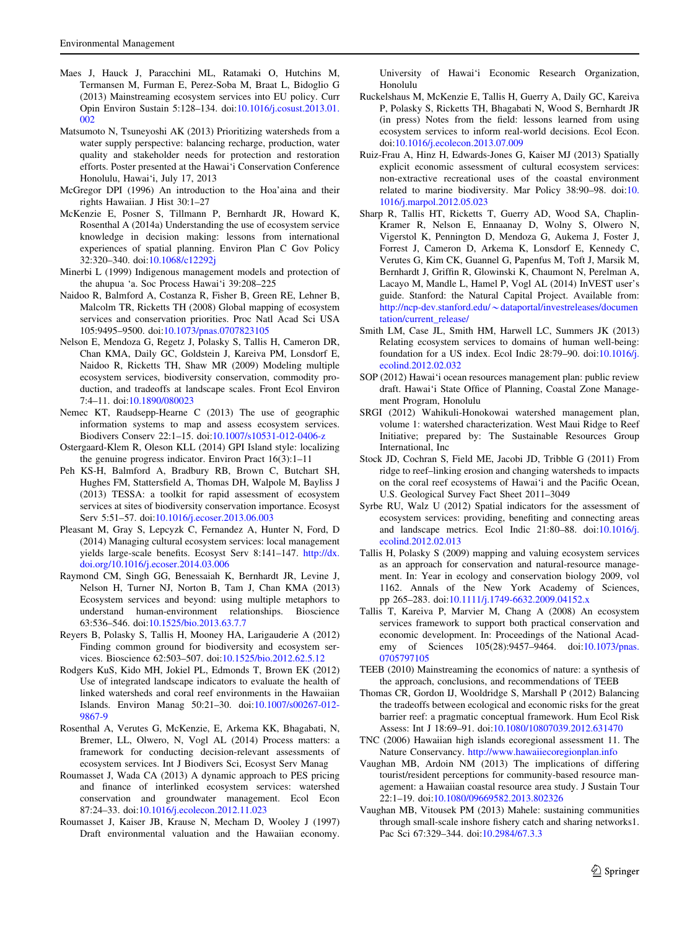- <span id="page-14-0"></span>Maes J, Hauck J, Paracchini ML, Ratamaki O, Hutchins M, Termansen M, Furman E, Perez-Soba M, Braat L, Bidoglio G (2013) Mainstreaming ecosystem services into EU policy. Curr Opin Environ Sustain 5:128–134. doi:[10.1016/j.cosust.2013.01.](http://dx.doi.org/10.1016/j.cosust.2013.01.002) [002](http://dx.doi.org/10.1016/j.cosust.2013.01.002)
- Matsumoto N, Tsuneyoshi AK (2013) Prioritizing watersheds from a water supply perspective: balancing recharge, production, water quality and stakeholder needs for protection and restoration efforts. Poster presented at the Hawai'i Conservation Conference Honolulu, Hawai'i, July 17, 2013
- McGregor DPI (1996) An introduction to the Hoa'aina and their rights Hawaiian. J Hist 30:1–27
- McKenzie E, Posner S, Tillmann P, Bernhardt JR, Howard K, Rosenthal A (2014a) Understanding the use of ecosystem service knowledge in decision making: lessons from international experiences of spatial planning. Environ Plan C Gov Policy 32:320–340. doi:[10.1068/c12292j](http://dx.doi.org/10.1068/c12292j)
- Minerbi L (1999) Indigenous management models and protection of the ahupua 'a. Soc Process Hawai'i 39:208–225
- Naidoo R, Balmford A, Costanza R, Fisher B, Green RE, Lehner B, Malcolm TR, Ricketts TH (2008) Global mapping of ecosystem services and conservation priorities. Proc Natl Acad Sci USA 105:9495–9500. doi[:10.1073/pnas.0707823105](http://dx.doi.org/10.1073/pnas.0707823105)
- Nelson E, Mendoza G, Regetz J, Polasky S, Tallis H, Cameron DR, Chan KMA, Daily GC, Goldstein J, Kareiva PM, Lonsdorf E, Naidoo R, Ricketts TH, Shaw MR (2009) Modeling multiple ecosystem services, biodiversity conservation, commodity production, and tradeoffs at landscape scales. Front Ecol Environ 7:4–11. doi:[10.1890/080023](http://dx.doi.org/10.1890/080023)
- Nemec KT, Raudsepp-Hearne C (2013) The use of geographic information systems to map and assess ecosystem services. Biodivers Conserv 22:1–15. doi:[10.1007/s10531-012-0406-z](http://dx.doi.org/10.1007/s10531-012-0406-z)
- Ostergaard-Klem R, Oleson KLL (2014) GPI Island style: localizing the genuine progress indicator. Environ Pract 16(3):1–11
- Peh KS-H, Balmford A, Bradbury RB, Brown C, Butchart SH, Hughes FM, Stattersfield A, Thomas DH, Walpole M, Bayliss J (2013) TESSA: a toolkit for rapid assessment of ecosystem services at sites of biodiversity conservation importance. Ecosyst Serv 5:51–57. doi[:10.1016/j.ecoser.2013.06.003](http://dx.doi.org/10.1016/j.ecoser.2013.06.003)
- Pleasant M, Gray S, Lepcyzk C, Fernandez A, Hunter N, Ford, D (2014) Managing cultural ecosystem services: local management yields large-scale benefits. Ecosyst Serv 8:141–147. [http://dx.](http://dx.doi.org/10.1016/j.ecoser.2014.03.006) [doi.org/10.1016/j.ecoser.2014.03.006](http://dx.doi.org/10.1016/j.ecoser.2014.03.006)
- Raymond CM, Singh GG, Benessaiah K, Bernhardt JR, Levine J, Nelson H, Turner NJ, Norton B, Tam J, Chan KMA (2013) Ecosystem services and beyond: using multiple metaphors to understand human-environment relationships. Bioscience 63:536–546. doi:[10.1525/bio.2013.63.7.7](http://dx.doi.org/10.1525/bio.2013.63.7.7)
- Reyers B, Polasky S, Tallis H, Mooney HA, Larigauderie A (2012) Finding common ground for biodiversity and ecosystem services. Bioscience 62:503–507. doi[:10.1525/bio.2012.62.5.12](http://dx.doi.org/10.1525/bio.2012.62.5.12)
- Rodgers KuS, Kido MH, Jokiel PL, Edmonds T, Brown EK (2012) Use of integrated landscape indicators to evaluate the health of linked watersheds and coral reef environments in the Hawaiian Islands. Environ Manag 50:21–30. doi[:10.1007/s00267-012-](http://dx.doi.org/10.1007/s00267-012-9867-9) [9867-9](http://dx.doi.org/10.1007/s00267-012-9867-9)
- Rosenthal A, Verutes G, McKenzie, E, Arkema KK, Bhagabati, N, Bremer, LL, Olwero, N, Vogl AL (2014) Process matters: a framework for conducting decision-relevant assessments of ecosystem services. Int J Biodivers Sci, Ecosyst Serv Manag
- Roumasset J, Wada CA (2013) A dynamic approach to PES pricing and finance of interlinked ecosystem services: watershed conservation and groundwater management. Ecol Econ 87:24–33. doi[:10.1016/j.ecolecon.2012.11.023](http://dx.doi.org/10.1016/j.ecolecon.2012.11.023)
- Roumasset J, Kaiser JB, Krause N, Mecham D, Wooley J (1997) Draft environmental valuation and the Hawaiian economy.

University of Hawai'i Economic Research Organization, Honolulu

- Ruckelshaus M, McKenzie E, Tallis H, Guerry A, Daily GC, Kareiva P, Polasky S, Ricketts TH, Bhagabati N, Wood S, Bernhardt JR (in press) Notes from the field: lessons learned from using ecosystem services to inform real-world decisions. Ecol Econ. doi[:10.1016/j.ecolecon.2013.07.009](http://dx.doi.org/10.1016/j.ecolecon.2013.07.009)
- Ruiz-Frau A, Hinz H, Edwards-Jones G, Kaiser MJ (2013) Spatially explicit economic assessment of cultural ecosystem services: non-extractive recreational uses of the coastal environment related to marine biodiversity. Mar Policy 38:90–98. doi:[10.](http://dx.doi.org/10.1016/j.marpol.2012.05.023) [1016/j.marpol.2012.05.023](http://dx.doi.org/10.1016/j.marpol.2012.05.023)
- Sharp R, Tallis HT, Ricketts T, Guerry AD, Wood SA, Chaplin-Kramer R, Nelson E, Ennaanay D, Wolny S, Olwero N, Vigerstol K, Pennington D, Mendoza G, Aukema J, Foster J, Forrest J, Cameron D, Arkema K, Lonsdorf E, Kennedy C, Verutes G, Kim CK, Guannel G, Papenfus M, Toft J, Marsik M, Bernhardt J, Griffin R, Glowinski K, Chaumont N, Perelman A, Lacayo M, Mandle L, Hamel P, Vogl AL (2014) InVEST user's guide. Stanford: the Natural Capital Project. Available from: http://ncp-dev.stanford.edu/  $\sim$  [dataportal/investreleases/documen](http://ncp-dev.stanford.edu/~dataportal/investreleases/documentation/current_release/) [tation/current\\_release/](http://ncp-dev.stanford.edu/~dataportal/investreleases/documentation/current_release/)
- Smith LM, Case JL, Smith HM, Harwell LC, Summers JK (2013) Relating ecosystem services to domains of human well-being: foundation for a US index. Ecol Indic 28:79–90. doi:[10.1016/j.](http://dx.doi.org/10.1016/j.ecolind.2012.02.032) [ecolind.2012.02.032](http://dx.doi.org/10.1016/j.ecolind.2012.02.032)
- SOP (2012) Hawai'i ocean resources management plan: public review draft. Hawai'i State Office of Planning, Coastal Zone Management Program, Honolulu
- SRGI (2012) Wahikuli-Honokowai watershed management plan, volume 1: watershed characterization. West Maui Ridge to Reef Initiative; prepared by: The Sustainable Resources Group International, Inc
- Stock JD, Cochran S, Field ME, Jacobi JD, Tribble G (2011) From ridge to reef–linking erosion and changing watersheds to impacts on the coral reef ecosystems of Hawai'i and the Pacific Ocean, U.S. Geological Survey Fact Sheet 2011–3049
- Syrbe RU, Walz U (2012) Spatial indicators for the assessment of ecosystem services: providing, benefiting and connecting areas and landscape metrics. Ecol Indic 21:80–88. doi:[10.1016/j.](http://dx.doi.org/10.1016/j.ecolind.2012.02.013) [ecolind.2012.02.013](http://dx.doi.org/10.1016/j.ecolind.2012.02.013)
- Tallis H, Polasky S (2009) mapping and valuing ecosystem services as an approach for conservation and natural-resource management. In: Year in ecology and conservation biology 2009, vol 1162. Annals of the New York Academy of Sciences, pp 265–283. doi[:10.1111/j.1749-6632.2009.04152.x](http://dx.doi.org/10.1111/j.1749-6632.2009.04152.x)
- Tallis T, Kareiva P, Marvier M, Chang A (2008) An ecosystem services framework to support both practical conservation and economic development. In: Proceedings of the National Academy of Sciences 105(28):9457–9464. doi:[10.1073/pnas.](http://dx.doi.org/10.1073/pnas.0705797105) [0705797105](http://dx.doi.org/10.1073/pnas.0705797105)
- TEEB (2010) Mainstreaming the economics of nature: a synthesis of the approach, conclusions, and recommendations of TEEB
- Thomas CR, Gordon IJ, Wooldridge S, Marshall P (2012) Balancing the tradeoffs between ecological and economic risks for the great barrier reef: a pragmatic conceptual framework. Hum Ecol Risk Assess: Int J 18:69–91. doi:[10.1080/10807039.2012.631470](http://dx.doi.org/10.1080/10807039.2012.631470)
- TNC (2006) Hawaiian high islands ecoregional assessment 11. The Nature Conservancy. <http://www.hawaiiecoregionplan.info>
- Vaughan MB, Ardoin NM (2013) The implications of differing tourist/resident perceptions for community-based resource management: a Hawaiian coastal resource area study. J Sustain Tour 22:1–19. doi[:10.1080/09669582.2013.802326](http://dx.doi.org/10.1080/09669582.2013.802326)
- Vaughan MB, Vitousek PM (2013) Mahele: sustaining communities through small-scale inshore fishery catch and sharing networks1. Pac Sci 67:329–344. doi:[10.2984/67.3.3](http://dx.doi.org/10.2984/67.3.3)